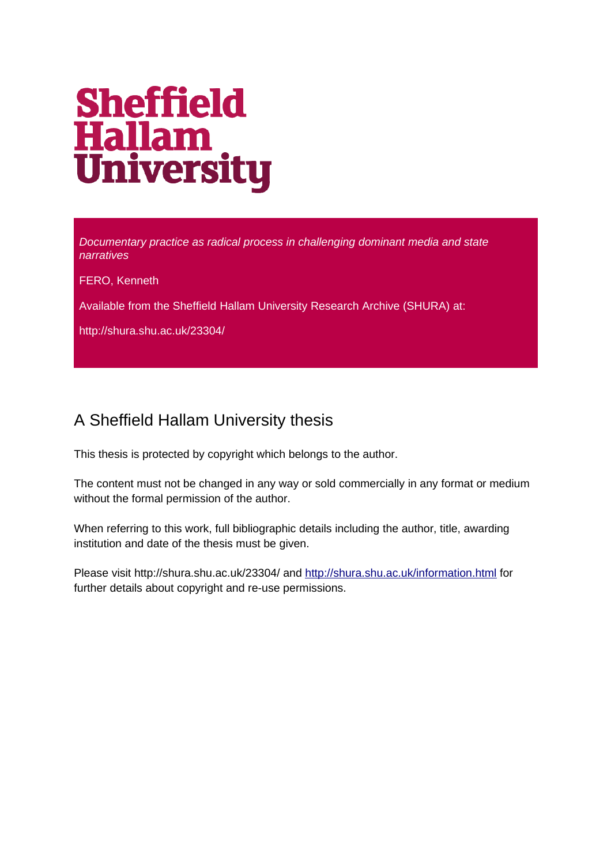# **Sheffield Hallam<br>University**

*Documentary practice as radical process in challenging dominant media and state narratives*

FERO, Kenneth

Available from the Sheffield Hallam University Research Archive (SHURA) at:

http://shura.shu.ac.uk/23304/

### A Sheffield Hallam University thesis

This thesis is protected by copyright which belongs to the author.

The content must not be changed in any way or sold commercially in any format or medium without the formal permission of the author.

When referring to this work, full bibliographic details including the author, title, awarding institution and date of the thesis must be given.

Please visit http://shura.shu.ac.uk/23304/ and<http://shura.shu.ac.uk/information.html>for further details about copyright and re-use permissions.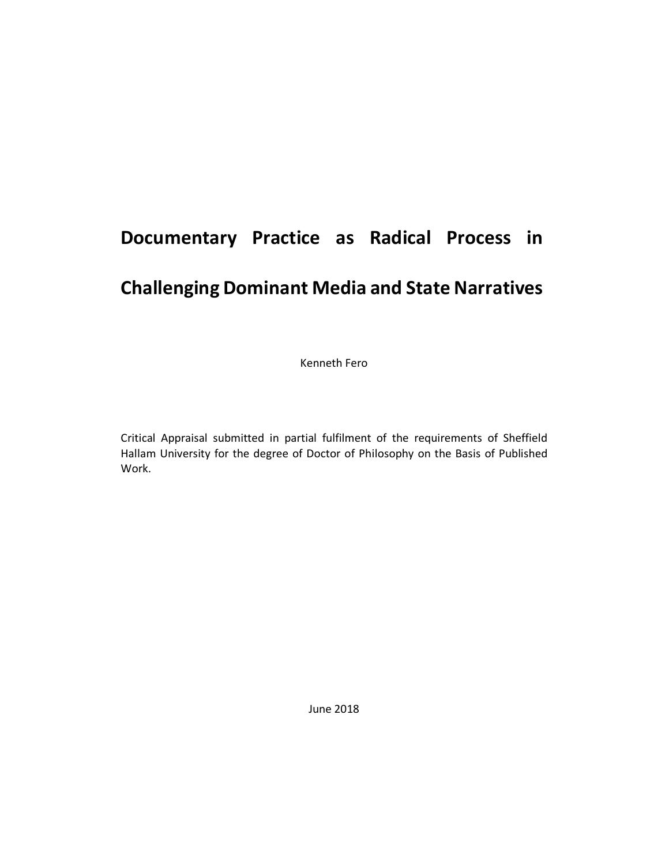# **Documentary Practice as Radical Process in**

## **Challenging Dominant Media and State Narratives**

Kenneth Fero

Critical Appraisal submitted in partial fulfilment of the requirements of Sheffield Hallam University for the degree of Doctor of Philosophy on the Basis of Published Work.

June 2018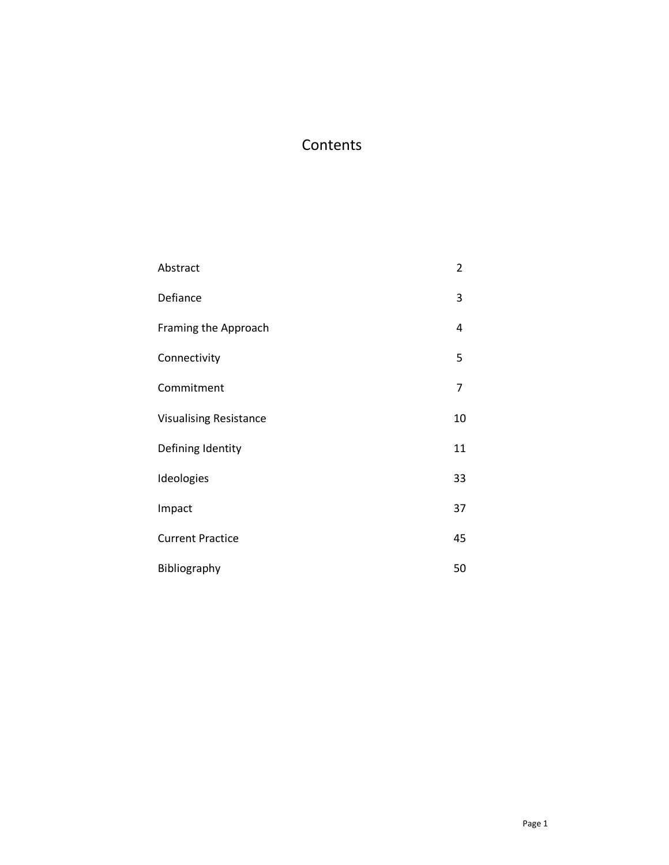#### **Contents**

| Abstract                      | $\overline{2}$ |
|-------------------------------|----------------|
| Defiance                      | 3              |
| Framing the Approach          | 4              |
| Connectivity                  | 5              |
| Commitment                    | 7              |
| <b>Visualising Resistance</b> | 10             |
| Defining Identity             | 11             |
| Ideologies                    | 33             |
| Impact                        | 37             |
| <b>Current Practice</b>       | 45             |
| Bibliography                  | 50             |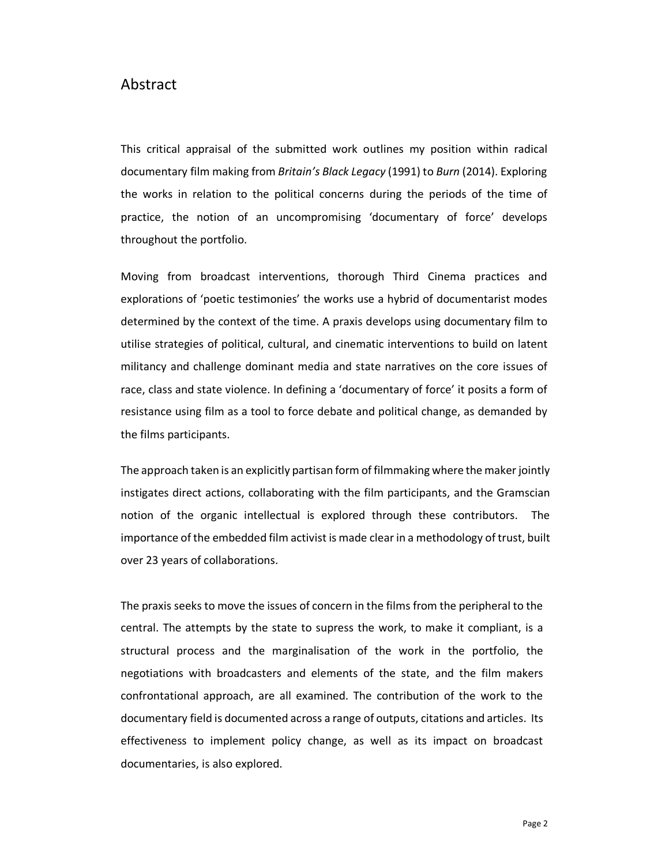#### Abstract

This critical appraisal of the submitted work outlines my position within radical documentary film making from *Britain's Black Legacy* (1991) to *Burn* (2014). Exploring the works in relation to the political concerns during the periods of the time of practice, the notion of an uncompromising 'documentary of force' develops throughout the portfolio.

Moving from broadcast interventions, thorough Third Cinema practices and explorations of 'poetic testimonies' the works use a hybrid of documentarist modes determined by the context of the time. A praxis develops using documentary film to utilise strategies of political, cultural, and cinematic interventions to build on latent militancy and challenge dominant media and state narratives on the core issues of race, class and state violence. In defining a 'documentary of force' it posits a form of resistance using film as a tool to force debate and political change, as demanded by the films participants.

The approach taken is an explicitly partisan form of filmmaking where the makerjointly instigates direct actions, collaborating with the film participants, and the Gramscian notion of the organic intellectual is explored through these contributors. The importance of the embedded film activist is made clear in a methodology of trust, built over 23 years of collaborations.

The praxis seeks to move the issues of concern in the films from the peripheral to the central. The attempts by the state to supress the work, to make it compliant, is a structural process and the marginalisation of the work in the portfolio, the negotiations with broadcasters and elements of the state, and the film makers confrontational approach, are all examined. The contribution of the work to the documentary field is documented across a range of outputs, citations and articles. Its effectiveness to implement policy change, as well as its impact on broadcast documentaries, is also explored.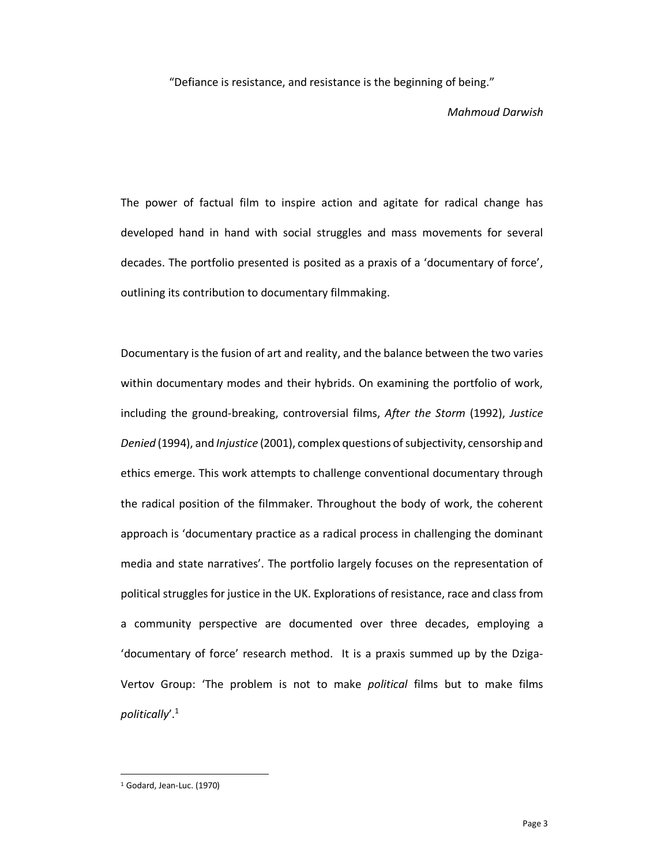"Defiance is resistance, and resistance is the beginning of being."

*Mahmoud Darwish*

The power of factual film to inspire action and agitate for radical change has developed hand in hand with social struggles and mass movements for several decades. The portfolio presented is posited as a praxis of a 'documentary of force', outlining its contribution to documentary filmmaking.

Documentary is the fusion of art and reality, and the balance between the two varies within documentary modes and their hybrids. On examining the portfolio of work, including the ground-breaking, controversial films, *After the Storm* (1992), *Justice Denied* (1994), and *Injustice* (2001), complex questions of subjectivity, censorship and ethics emerge. This work attempts to challenge conventional documentary through the radical position of the filmmaker. Throughout the body of work, the coherent approach is 'documentary practice as a radical process in challenging the dominant media and state narratives'. The portfolio largely focuses on the representation of political struggles for justice in the UK. Explorations of resistance, race and class from a community perspective are documented over three decades, employing a 'documentary of force' research method. It is a praxis summed up by the Dziga-Vertov Group: 'The problem is not to make *political* films but to make films *politically*'.1

<sup>1</sup> Godard, Jean-Luc. (1970)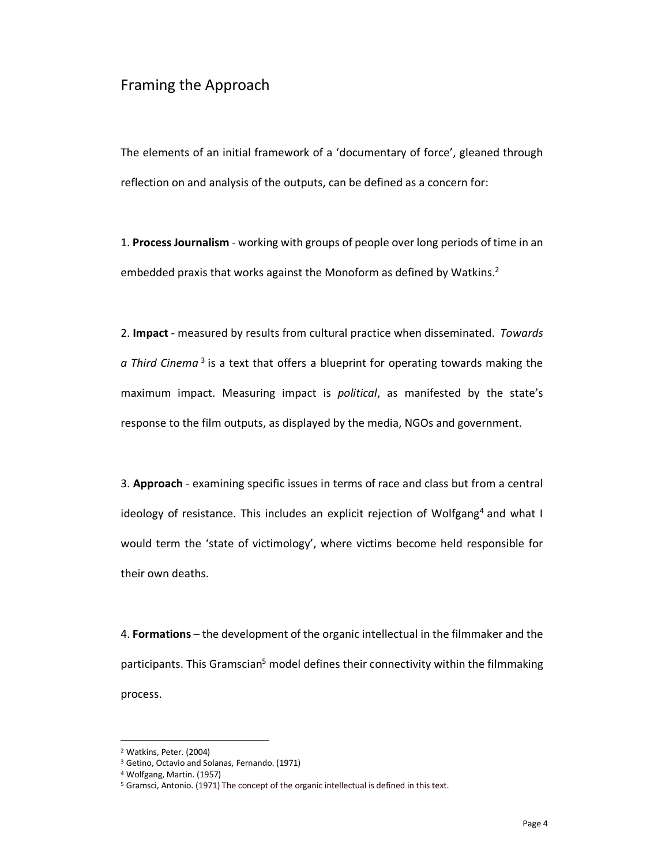#### Framing the Approach

The elements of an initial framework of a 'documentary of force', gleaned through reflection on and analysis of the outputs, can be defined as a concern for:

1. **Process Journalism** - working with groups of people over long periods of time in an embedded praxis that works against the Monoform as defined by Watkins.<sup>2</sup>

2. **Impact** - measured by results from cultural practice when disseminated. *Towards a Third Cinema* <sup>3</sup> is a text that offers a blueprint for operating towards making the maximum impact. Measuring impact is *political*, as manifested by the state's response to the film outputs, as displayed by the media, NGOs and government.

3. **Approach** - examining specific issues in terms of race and class but from a central ideology of resistance. This includes an explicit rejection of Wolfgang<sup>4</sup> and what I would term the 'state of victimology', where victims become held responsible for their own deaths.

4. **Formations** – the development of the organic intellectual in the filmmaker and the participants. This Gramscian<sup>5</sup> model defines their connectivity within the filmmaking process.

<sup>2</sup> Watkins, Peter. (2004)

<sup>3</sup> Getino, Octavio and Solanas, Fernando. (1971)

<sup>4</sup> Wolfgang, Martin. (1957)

<sup>&</sup>lt;sup>5</sup> Gramsci, Antonio. (1971) The concept of the organic intellectual is defined in this text.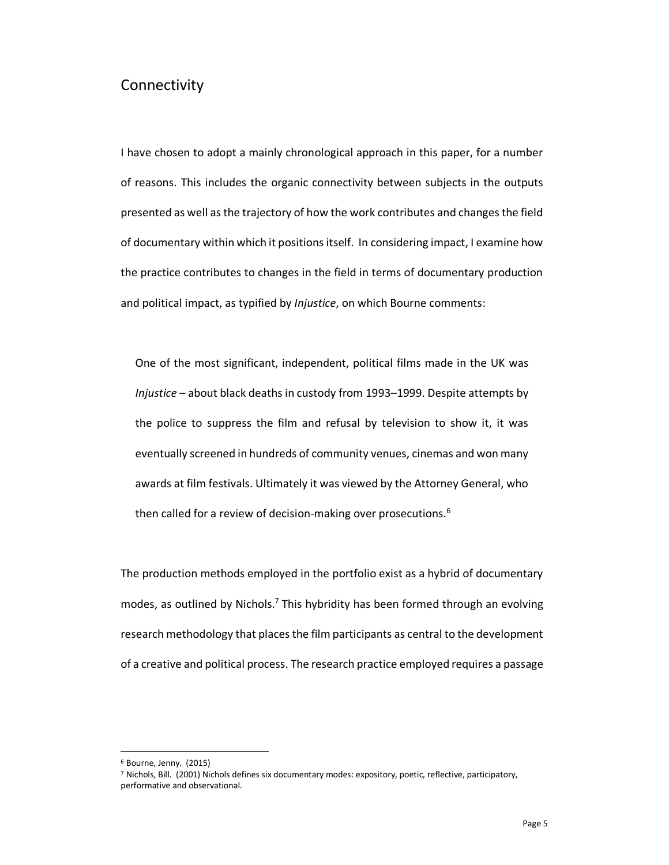#### Connectivity

I have chosen to adopt a mainly chronological approach in this paper, for a number of reasons. This includes the organic connectivity between subjects in the outputs presented as well as the trajectory of how the work contributes and changes the field of documentary within which it positions itself. In considering impact, I examine how the practice contributes to changes in the field in terms of documentary production and political impact, as typified by *Injustice*, on which Bourne comments:

One of the most significant, independent, political films made in the UK was *Injustice* – about black deaths in custody from 1993–1999. Despite attempts by the police to suppress the film and refusal by television to show it, it was eventually screened in hundreds of community venues, cinemas and won many awards at film festivals. Ultimately it was viewed by the Attorney General, who then called for a review of decision-making over prosecutions.<sup>6</sup>

The production methods employed in the portfolio exist as a hybrid of documentary modes, as outlined by Nichols. <sup>7</sup> This hybridity has been formed through an evolving research methodology that places the film participants as central to the development of a creative and political process. The research practice employed requires a passage

<sup>6</sup> Bourne, Jenny. (2015)

<sup>7</sup> Nichols, Bill. (2001) Nichols defines six documentary modes: expository, poetic, reflective, participatory, performative and observational.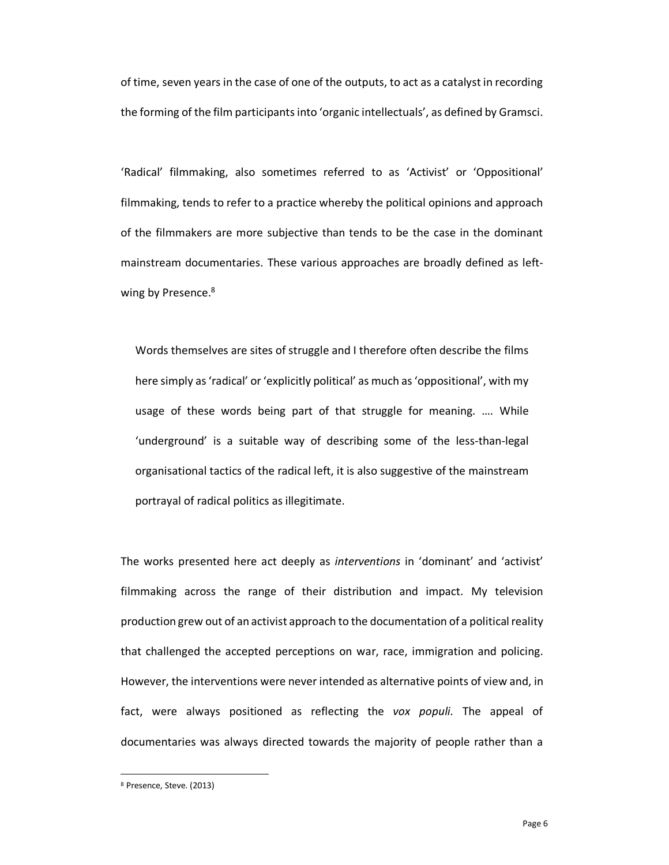of time, seven years in the case of one of the outputs, to act as a catalyst in recording the forming of the film participantsinto 'organic intellectuals', as defined by Gramsci.

'Radical' filmmaking, also sometimes referred to as 'Activist' or 'Oppositional' filmmaking, tends to refer to a practice whereby the political opinions and approach of the filmmakers are more subjective than tends to be the case in the dominant mainstream documentaries. These various approaches are broadly defined as leftwing by Presence.<sup>8</sup>

Words themselves are sites of struggle and I therefore often describe the films here simply as 'radical' or 'explicitly political' as much as 'oppositional', with my usage of these words being part of that struggle for meaning. …. While 'underground' is a suitable way of describing some of the less-than-legal organisational tactics of the radical left, it is also suggestive of the mainstream portrayal of radical politics as illegitimate.

The works presented here act deeply as *interventions* in 'dominant' and 'activist' filmmaking across the range of their distribution and impact. My television production grew out of an activist approach to the documentation of a political reality that challenged the accepted perceptions on war, race, immigration and policing. However, the interventions were never intended as alternative points of view and, in fact, were always positioned as reflecting the *vox populi.* The appeal of documentaries was always directed towards the majority of people rather than a

<sup>8</sup> Presence, Steve. (2013)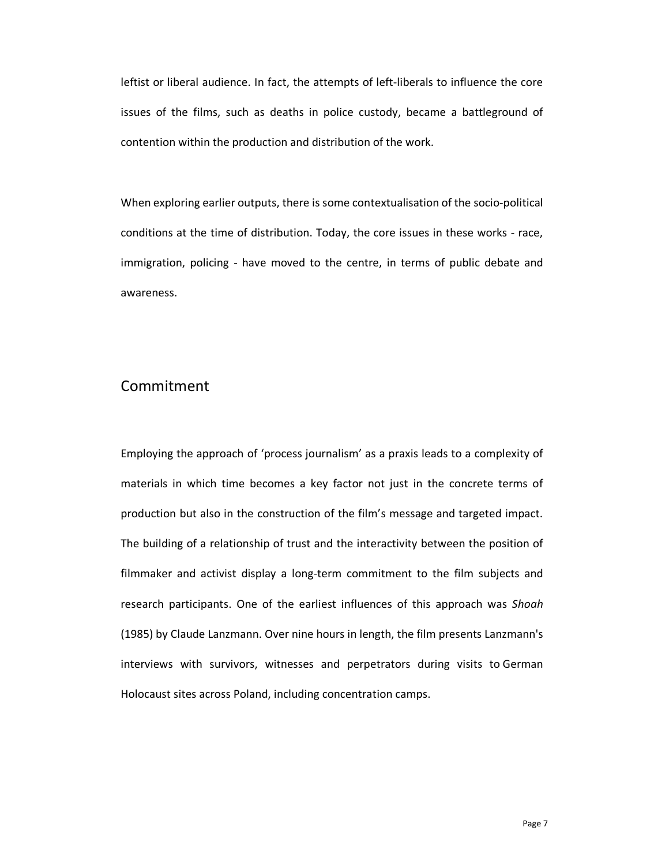leftist or liberal audience. In fact, the attempts of left-liberals to influence the core issues of the films, such as deaths in police custody, became a battleground of contention within the production and distribution of the work.

When exploring earlier outputs, there is some contextualisation of the socio-political conditions at the time of distribution. Today, the core issues in these works - race, immigration, policing - have moved to the centre, in terms of public debate and awareness.

#### Commitment

Employing the approach of 'process journalism' as a praxis leads to a complexity of materials in which time becomes a key factor not just in the concrete terms of production but also in the construction of the film's message and targeted impact. The building of a relationship of trust and the interactivity between the position of filmmaker and activist display a long-term commitment to the film subjects and research participants. One of the earliest influences of this approach was *Shoah* (1985) by Claude Lanzmann. Over nine hours in length, the film presents Lanzmann's interviews with survivors, witnesses and perpetrators during visits to German Holocaust sites across Poland, including concentration camps.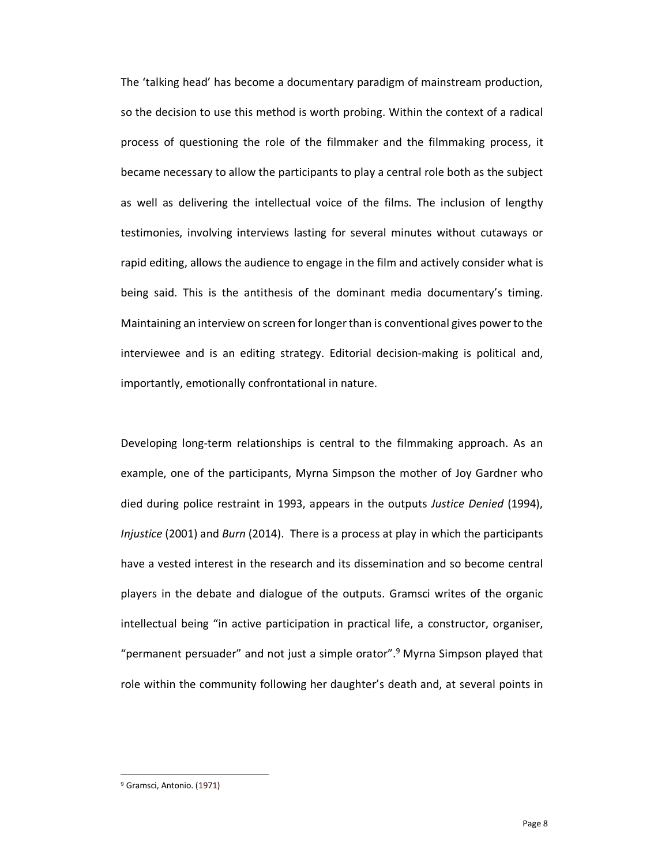The 'talking head' has become a documentary paradigm of mainstream production, so the decision to use this method is worth probing. Within the context of a radical process of questioning the role of the filmmaker and the filmmaking process, it became necessary to allow the participants to play a central role both as the subject as well as delivering the intellectual voice of the films. The inclusion of lengthy testimonies, involving interviews lasting for several minutes without cutaways or rapid editing, allows the audience to engage in the film and actively consider what is being said. This is the antithesis of the dominant media documentary's timing. Maintaining an interview on screen for longer than is conventional gives power to the interviewee and is an editing strategy. Editorial decision-making is political and, importantly, emotionally confrontational in nature.

Developing long-term relationships is central to the filmmaking approach. As an example, one of the participants, Myrna Simpson the mother of Joy Gardner who died during police restraint in 1993, appears in the outputs *Justice Denied* (1994), *Injustice* (2001) and *Burn* (2014). There is a process at play in which the participants have a vested interest in the research and its dissemination and so become central players in the debate and dialogue of the outputs. Gramsci writes of the organic intellectual being "in active participation in practical life, a constructor, organiser, "permanent persuader" and not just a simple orator". <sup>9</sup> Myrna Simpson played that role within the community following her daughter's death and, at several points in

<sup>9</sup> Gramsci, Antonio. (1971)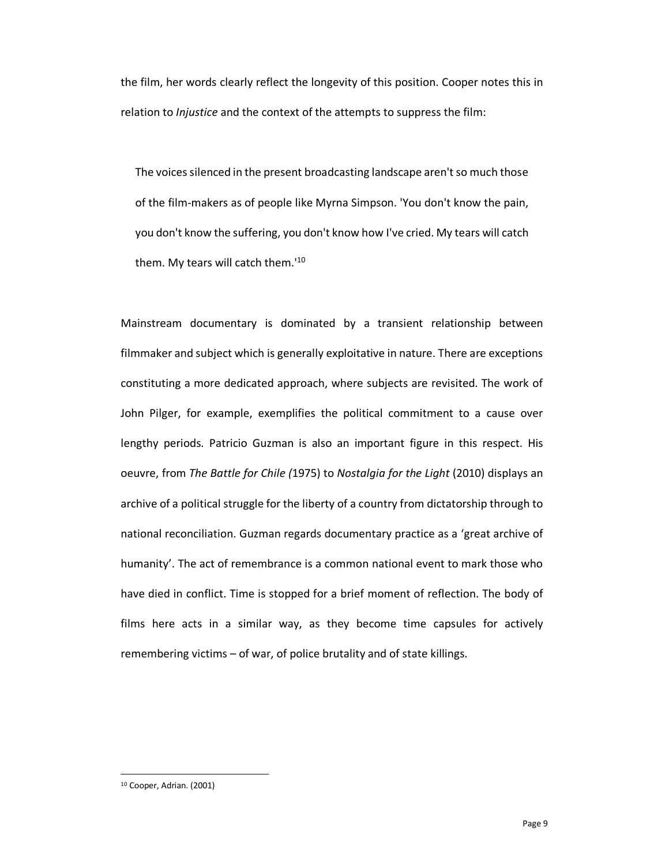the film, her words clearly reflect the longevity of this position. Cooper notes this in relation to *Injustice* and the context of the attempts to suppress the film:

The voices silenced in the present broadcasting landscape aren't so much those of the film-makers as of people like Myrna Simpson. 'You don't know the pain, you don't know the suffering, you don't know how I've cried. My tears will catch them. My tears will catch them.'10

Mainstream documentary is dominated by a transient relationship between filmmaker and subject which is generally exploitative in nature. There are exceptions constituting a more dedicated approach, where subjects are revisited. The work of John Pilger, for example, exemplifies the political commitment to a cause over lengthy periods. Patricio Guzman is also an important figure in this respect. His oeuvre, from *The Battle for Chile (*1975) to *Nostalgia for the Light* (2010) displays an archive of a political struggle for the liberty of a country from dictatorship through to national reconciliation. Guzman regards documentary practice as a 'great archive of humanity'. The act of remembrance is a common national event to mark those who have died in conflict. Time is stopped for a brief moment of reflection. The body of films here acts in a similar way, as they become time capsules for actively remembering victims – of war, of police brutality and of state killings.

<sup>10</sup> Cooper, Adrian. (2001)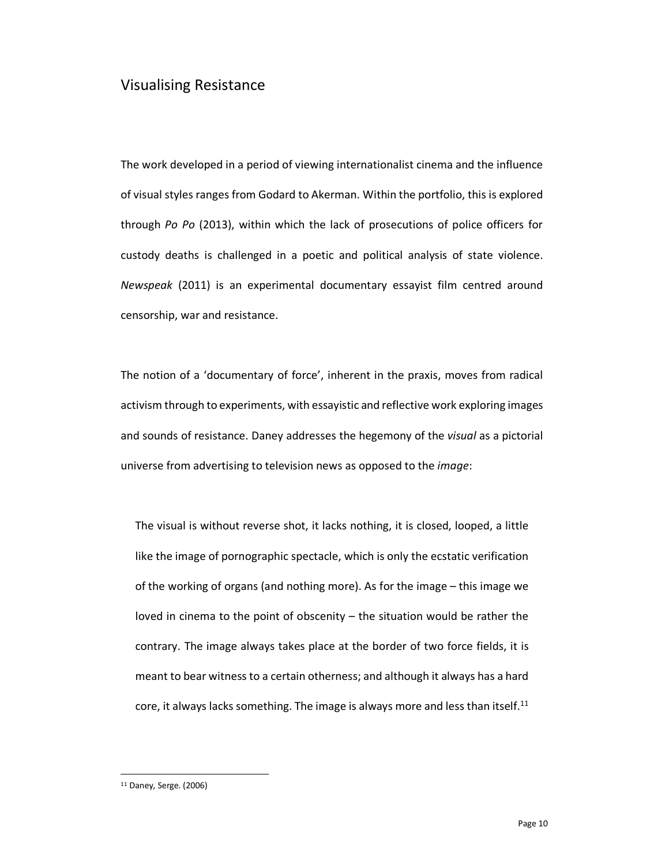#### Visualising Resistance

The work developed in a period of viewing internationalist cinema and the influence of visual styles ranges from Godard to Akerman. Within the portfolio, this is explored through *Po Po* (2013), within which the lack of prosecutions of police officers for custody deaths is challenged in a poetic and political analysis of state violence. *Newspeak* (2011) is an experimental documentary essayist film centred around censorship, war and resistance.

The notion of a 'documentary of force', inherent in the praxis, moves from radical activism through to experiments, with essayistic and reflective work exploring images and sounds of resistance. Daney addresses the hegemony of the *visual* as a pictorial universe from advertising to television news as opposed to the *image*:

The visual is without reverse shot, it lacks nothing, it is closed, looped, a little like the image of pornographic spectacle, which is only the ecstatic verification of the working of organs (and nothing more). As for the image – this image we loved in cinema to the point of obscenity – the situation would be rather the contrary. The image always takes place at the border of two force fields, it is meant to bear witness to a certain otherness; and although it always has a hard core, it always lacks something. The image is always more and less than itself.<sup>11</sup>

<sup>11</sup> Daney, Serge. (2006)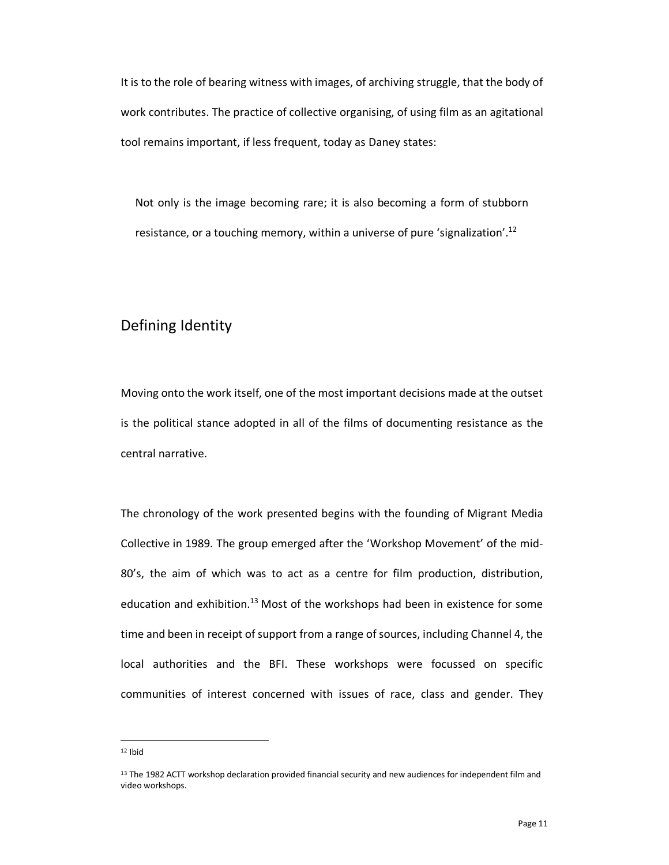It is to the role of bearing witness with images, of archiving struggle, that the body of work contributes. The practice of collective organising, of using film as an agitational tool remains important, if less frequent, today as Daney states:

Not only is the image becoming rare; it is also becoming a form of stubborn resistance, or a touching memory, within a universe of pure 'signalization'.<sup>12</sup>

#### Defining Identity

Moving onto the work itself, one of the most important decisions made at the outset is the political stance adopted in all of the films of documenting resistance as the central narrative.

The chronology of the work presented begins with the founding of Migrant Media Collective in 1989. The group emerged after the 'Workshop Movement' of the mid-80's, the aim of which was to act as a centre for film production, distribution, education and exhibition.<sup>13</sup> Most of the workshops had been in existence for some time and been in receipt of support from a range of sources, including Channel 4, the local authorities and the BFI. These workshops were focussed on specific communities of interest concerned with issues of race, class and gender. They

 $12$  Ibid

<sup>&</sup>lt;sup>13</sup> The 1982 ACTT workshop declaration provided financial security and new audiences for independent film and video workshops.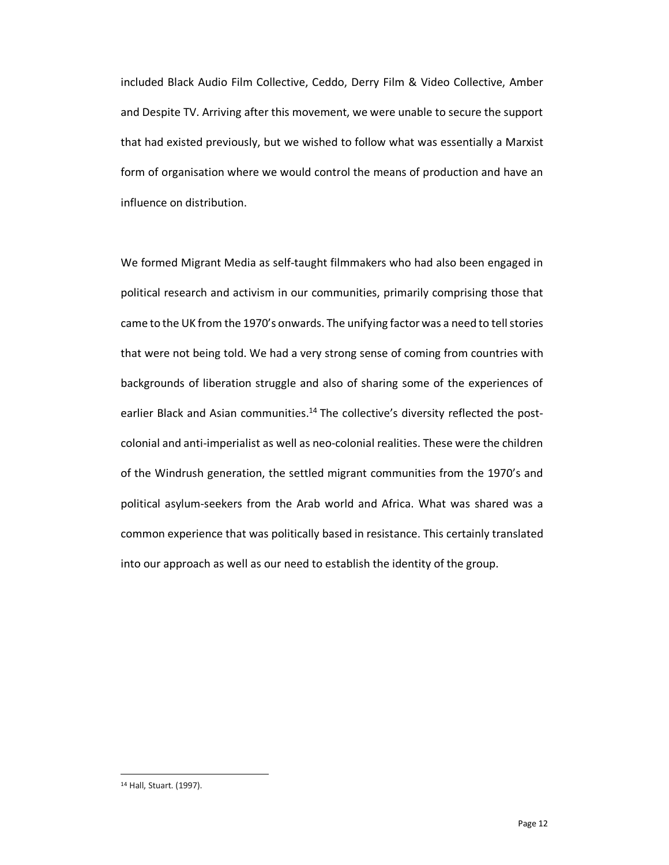included Black Audio Film Collective, Ceddo, Derry Film & Video Collective, Amber and Despite TV. Arriving after this movement, we were unable to secure the support that had existed previously, but we wished to follow what was essentially a Marxist form of organisation where we would control the means of production and have an influence on distribution.

We formed Migrant Media as self-taught filmmakers who had also been engaged in political research and activism in our communities, primarily comprising those that came to the UK from the 1970's onwards. The unifying factor was a need to tell stories that were not being told. We had a very strong sense of coming from countries with backgrounds of liberation struggle and also of sharing some of the experiences of earlier Black and Asian communities.<sup>14</sup> The collective's diversity reflected the postcolonial and anti-imperialist as well as neo-colonial realities. These were the children of the Windrush generation, the settled migrant communities from the 1970's and political asylum-seekers from the Arab world and Africa. What was shared was a common experience that was politically based in resistance. This certainly translated into our approach as well as our need to establish the identity of the group.

<sup>14</sup> Hall, Stuart. (1997).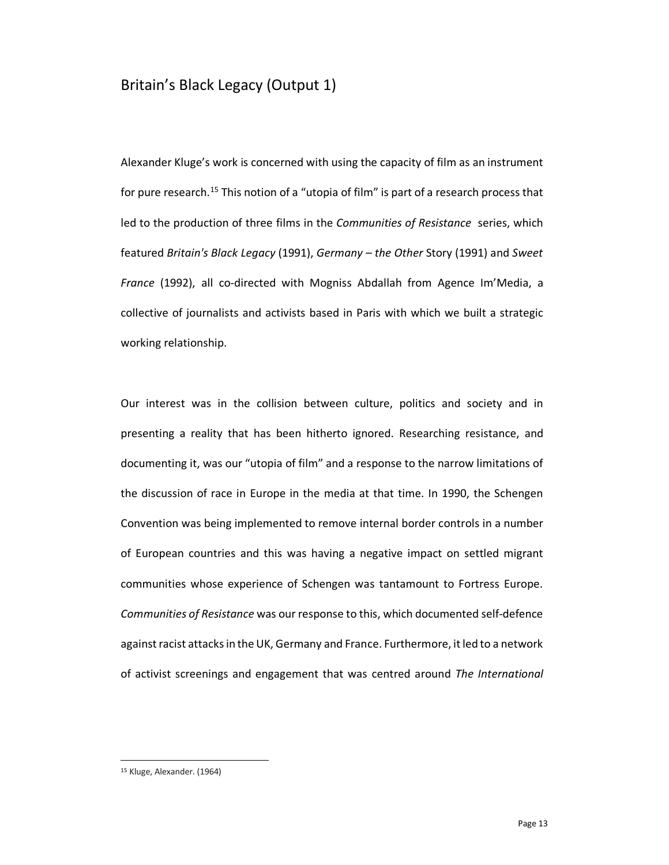#### Britain's Black Legacy (Output 1)

Alexander Kluge's work is concerned with using the capacity of film as an instrument for pure research.<sup>15</sup> This notion of a "utopia of film" is part of a research process that led to the production of three films in the *Communities of Resistance* series, which featured *Britain's Black Legacy* (1991), *Germany – the Other* Story (1991) and *Sweet France* (1992), all co-directed with Mogniss Abdallah from Agence Im'Media, a collective of journalists and activists based in Paris with which we built a strategic working relationship.

Our interest was in the collision between culture, politics and society and in presenting a reality that has been hitherto ignored. Researching resistance, and documenting it, was our "utopia of film" and a response to the narrow limitations of the discussion of race in Europe in the media at that time. In 1990, the Schengen Convention was being implemented to remove internal border controls in a number of European countries and this was having a negative impact on settled migrant communities whose experience of Schengen was tantamount to Fortress Europe. *Communities of Resistance* was our response to this, which documented self-defence against racist attacks in the UK, Germany and France. Furthermore, it led to a network of activist screenings and engagement that was centred around *The International* 

<sup>15</sup> Kluge, Alexander. (1964)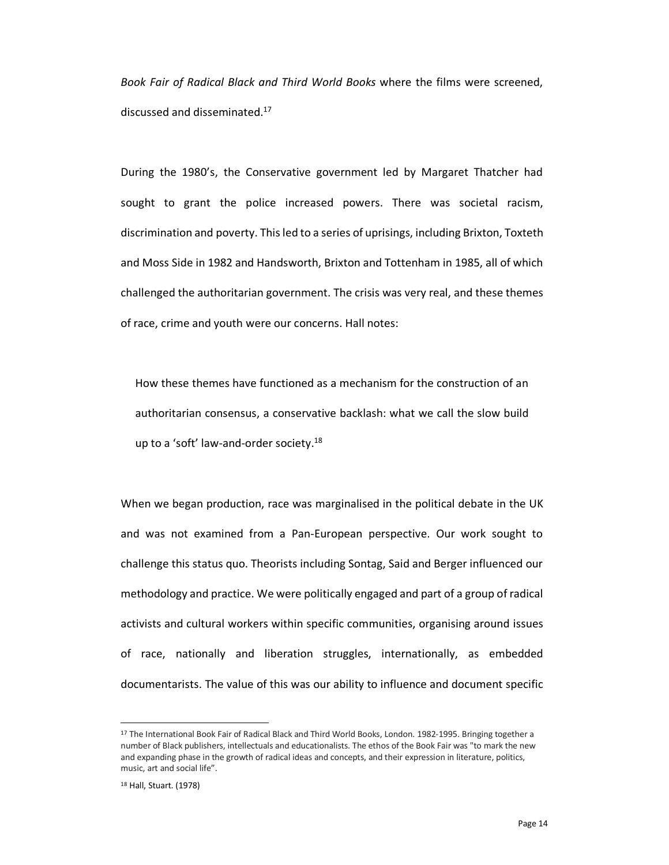*Book Fair of Radical Black and Third World Books* where the films were screened, discussed and disseminated.17

During the 1980's, the Conservative government led by Margaret Thatcher had sought to grant the police increased powers. There was societal racism, discrimination and poverty. This led to a series of uprisings, including Brixton, Toxteth and Moss Side in 1982 and Handsworth, Brixton and Tottenham in 1985, all of which challenged the authoritarian government. The crisis was very real, and these themes of race, crime and youth were our concerns. Hall notes:

How these themes have functioned as a mechanism for the construction of an authoritarian consensus, a conservative backlash: what we call the slow build up to a 'soft' law-and-order society.<sup>18</sup>

When we began production, race was marginalised in the political debate in the UK and was not examined from a Pan-European perspective. Our work sought to challenge this status quo. Theorists including Sontag, Said and Berger influenced our methodology and practice. We were politically engaged and part of a group of radical activists and cultural workers within specific communities, organising around issues of race, nationally and liberation struggles, internationally, as embedded documentarists. The value of this was our ability to influence and document specific

<sup>17</sup> The International Book Fair of Radical Black and Third World Books, London. 1982-1995. Bringing together a number of Black publishers, intellectuals and educationalists. The ethos of the Book Fair was "to mark the new and expanding phase in the growth of radical ideas and concepts, and their expression in literature, politics, music, art and social life".

<sup>18</sup> Hall, Stuart. (1978)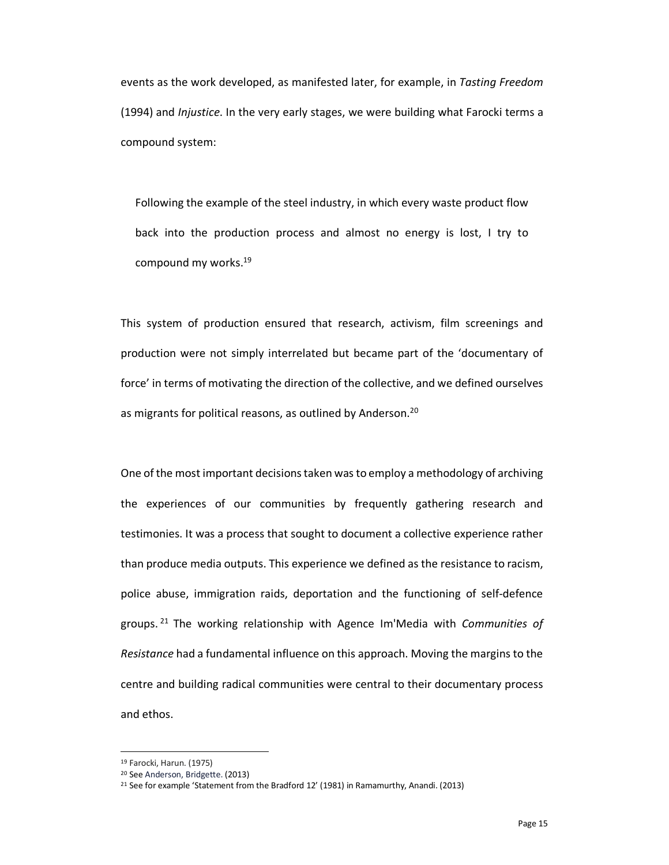events as the work developed, as manifested later, for example, in *Tasting Freedom* (1994) and *Injustice*. In the very early stages, we were building what Farocki terms a compound system:

Following the example of the steel industry, in which every waste product flow back into the production process and almost no energy is lost, I try to compound my works. 19

This system of production ensured that research, activism, film screenings and production were not simply interrelated but became part of the 'documentary of force' in terms of motivating the direction of the collective, and we defined ourselves as migrants for political reasons, as outlined by Anderson.<sup>20</sup>

One of the most important decisions taken was to employ a methodology of archiving the experiences of our communities by frequently gathering research and testimonies. It was a process that sought to document a collective experience rather than produce media outputs. This experience we defined as the resistance to racism, police abuse, immigration raids, deportation and the functioning of self-defence groups. <sup>21</sup> The working relationship with Agence Im'Media with *Communities of Resistance* had a fundamental influence on this approach. Moving the margins to the centre and building radical communities were central to their documentary process and ethos.

<sup>&</sup>lt;sup>19</sup> Farocki, Harun. (1975)<br><sup>20</sup> See Anderson, Bridgette. (2013)

<sup>&</sup>lt;sup>21</sup> See for example 'Statement from the Bradford 12' (1981) in Ramamurthy, Anandi. (2013)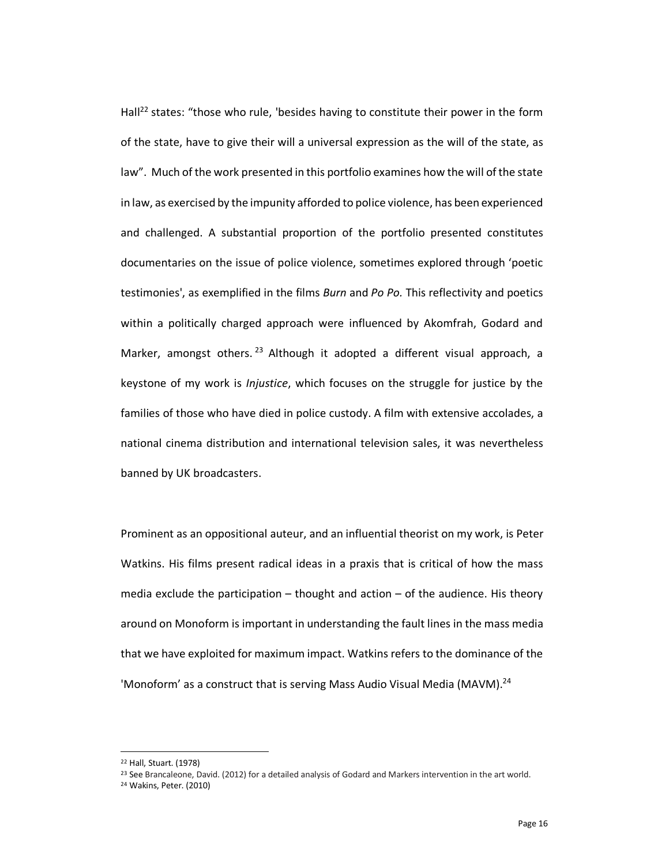Hall<sup>22</sup> states: "those who rule, 'besides having to constitute their power in the form of the state, have to give their will a universal expression as the will of the state, as law". Much of the work presented in this portfolio examines how the will of the state in law, as exercised by the impunity afforded to police violence, has been experienced and challenged. A substantial proportion of the portfolio presented constitutes documentaries on the issue of police violence, sometimes explored through 'poetic testimonies', as exemplified in the films *Burn* and *Po Po.* This reflectivity and poetics within a politically charged approach were influenced by Akomfrah, Godard and Marker, amongst others.<sup>23</sup> Although it adopted a different visual approach, a keystone of my work is *Injustice*, which focuses on the struggle for justice by the families of those who have died in police custody. A film with extensive accolades, a national cinema distribution and international television sales, it was nevertheless banned by UK broadcasters.

Prominent as an oppositional auteur, and an influential theorist on my work, is Peter Watkins. His films present radical ideas in a praxis that is critical of how the mass media exclude the participation  $-$  thought and action  $-$  of the audience. His theory around on Monoform is important in understanding the fault lines in the mass media that we have exploited for maximum impact. Watkins refers to the dominance of the 'Monoform' as a construct that is serving Mass Audio Visual Media (MAVM).<sup>24</sup>

<sup>22</sup> Hall, Stuart. (1978)

<sup>&</sup>lt;sup>23</sup> See Brancaleone, David. (2012) for a detailed analysis of Godard and Markers intervention in the art world.  $24$  Wakins, Peter. (2010)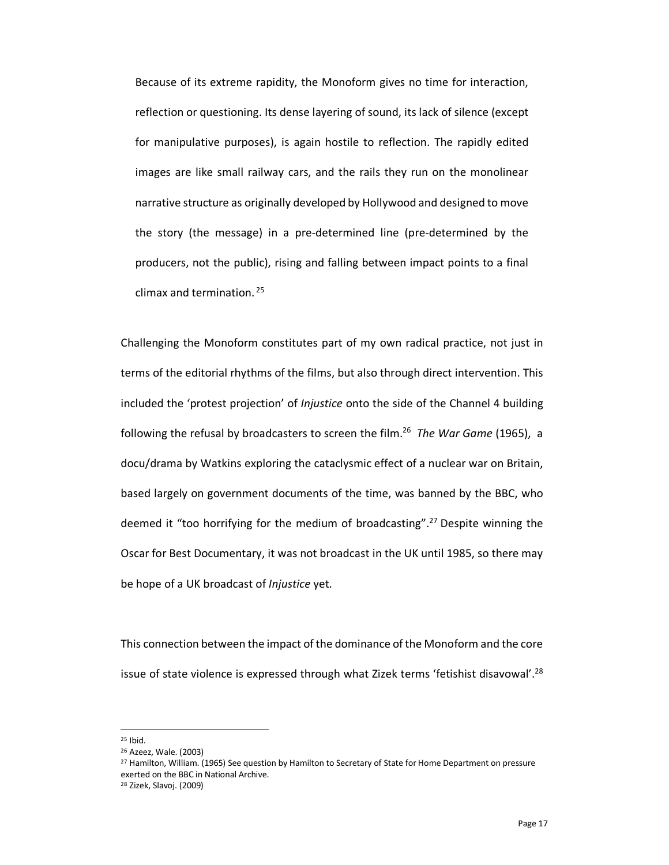Because of its extreme rapidity, the Monoform gives no time for interaction, reflection or questioning. Its dense layering of sound, its lack of silence (except for manipulative purposes), is again hostile to reflection. The rapidly edited images are like small railway cars, and the rails they run on the monolinear narrative structure as originally developed by Hollywood and designed to move the story (the message) in a pre-determined line (pre-determined by the producers, not the public), rising and falling between impact points to a final climax and termination. <sup>25</sup>

Challenging the Monoform constitutes part of my own radical practice, not just in terms of the editorial rhythms of the films, but also through direct intervention. This included the 'protest projection' of *Injustice* onto the side of the Channel 4 building following the refusal by broadcasters to screen the film. <sup>26</sup> *The War Game* (1965), a docu/drama by Watkins exploring the cataclysmic effect of a nuclear war on Britain, based largely on government documents of the time, was banned by the BBC, who deemed it "too horrifying for the medium of broadcasting".<sup>27</sup> Despite winning the Oscar for Best Documentary, it was not broadcast in the UK until 1985, so there may be hope of a UK broadcast of *Injustice* yet.

This connection between the impact of the dominance of the Monoform and the core issue of state violence is expressed through what Zizek terms 'fetishist disavowal'.<sup>28</sup>

<sup>25</sup> Ibid.

<sup>26</sup> Azeez, Wale. (2003)

<sup>&</sup>lt;sup>27</sup> Hamilton, William. (1965) See question by Hamilton to Secretary of State for Home Department on pressure exerted on the BBC in National Archive.

<sup>28</sup> Zizek, Slavoj. (2009)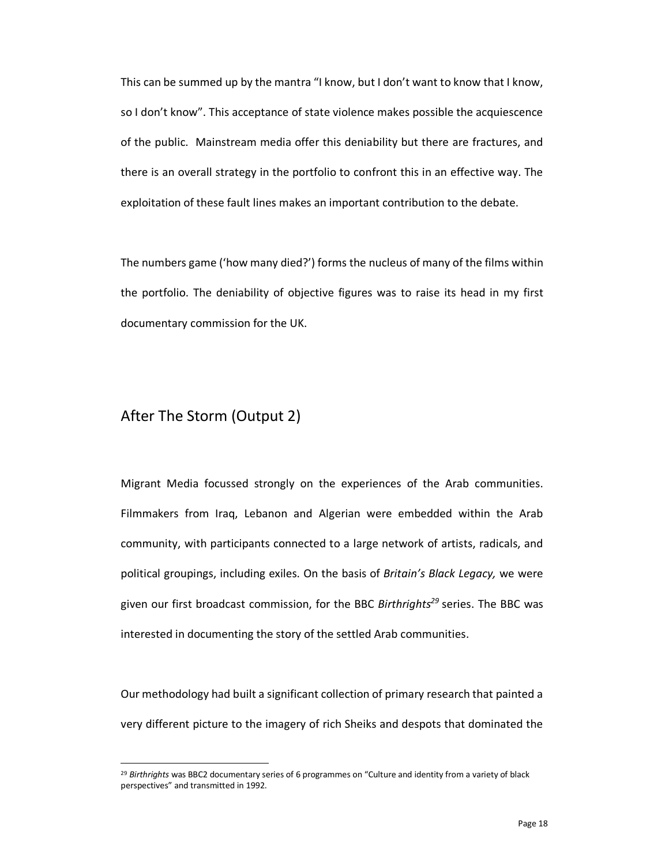This can be summed up by the mantra "I know, but I don't want to know that I know, so I don't know". This acceptance of state violence makes possible the acquiescence of the public. Mainstream media offer this deniability but there are fractures, and there is an overall strategy in the portfolio to confront this in an effective way. The exploitation of these fault lines makes an important contribution to the debate.

The numbers game ('how many died?') forms the nucleus of many of the films within the portfolio. The deniability of objective figures was to raise its head in my first documentary commission for the UK.

#### After The Storm (Output 2)

-

Migrant Media focussed strongly on the experiences of the Arab communities. Filmmakers from Iraq, Lebanon and Algerian were embedded within the Arab community, with participants connected to a large network of artists, radicals, and political groupings, including exiles. On the basis of *Britain's Black Legacy,* we were given our first broadcast commission, for the BBC *Birthrights29* series. The BBC was interested in documenting the story of the settled Arab communities.

Our methodology had built a significant collection of primary research that painted a very different picture to the imagery of rich Sheiks and despots that dominated the

<sup>29</sup> *Birthrights* was BBC2 documentary series of 6 programmes on "Culture and identity from a variety of black perspectives" and transmitted in 1992.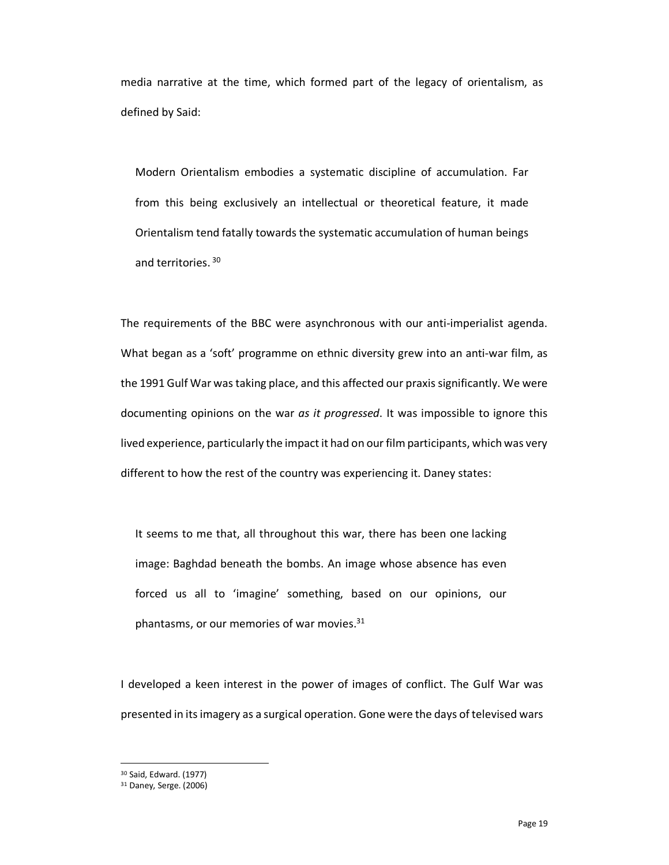media narrative at the time, which formed part of the legacy of orientalism, as defined by Said:

Modern Orientalism embodies a systematic discipline of accumulation. Far from this being exclusively an intellectual or theoretical feature, it made Orientalism tend fatally towards the systematic accumulation of human beings and territories.<sup>30</sup>

The requirements of the BBC were asynchronous with our anti-imperialist agenda. What began as a 'soft' programme on ethnic diversity grew into an anti-war film, as the 1991 Gulf War was taking place, and this affected our praxis significantly. We were documenting opinions on the war *as it progressed*. It was impossible to ignore this lived experience, particularly the impact it had on our film participants, which was very different to how the rest of the country was experiencing it. Daney states:

It seems to me that, all throughout this war, there has been one lacking image: Baghdad beneath the bombs. An image whose absence has even forced us all to 'imagine' something, based on our opinions, our phantasms, or our memories of war movies.<sup>31</sup>

I developed a keen interest in the power of images of conflict. The Gulf War was presented in its imagery as a surgical operation. Gone were the days of televised wars

<sup>30</sup> Said, Edward. (1977)

<sup>31</sup> Daney, Serge. (2006)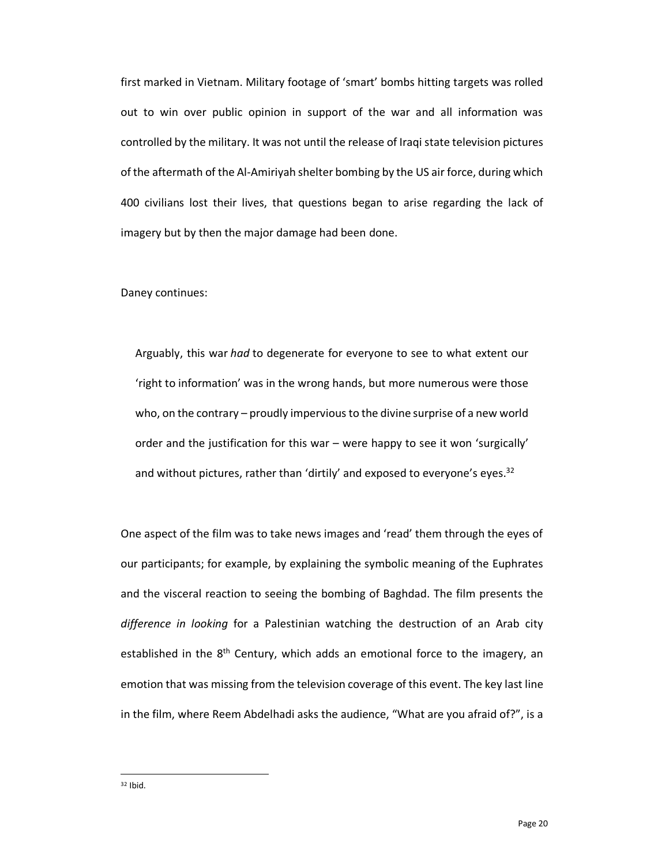first marked in Vietnam. Military footage of 'smart' bombs hitting targets was rolled out to win over public opinion in support of the war and all information was controlled by the military. It was not until the release of Iraqi state television pictures of the aftermath of the Al-Amiriyah shelter bombing by the US air force, during which 400 civilians lost their lives, that questions began to arise regarding the lack of imagery but by then the major damage had been done.

Daney continues:

Arguably, this war *had* to degenerate for everyone to see to what extent our 'right to information' was in the wrong hands, but more numerous were those who, on the contrary – proudly impervious to the divine surprise of a new world order and the justification for this war – were happy to see it won 'surgically' and without pictures, rather than 'dirtily' and exposed to everyone's eyes.<sup>32</sup>

One aspect of the film was to take news images and 'read' them through the eyes of our participants; for example, by explaining the symbolic meaning of the Euphrates and the visceral reaction to seeing the bombing of Baghdad. The film presents the *difference in looking* for a Palestinian watching the destruction of an Arab city established in the 8<sup>th</sup> Century, which adds an emotional force to the imagery, an emotion that was missing from the television coverage of this event. The key last line in the film, where Reem Abdelhadi asks the audience, "What are you afraid of?", is a

<sup>32</sup> Ibid.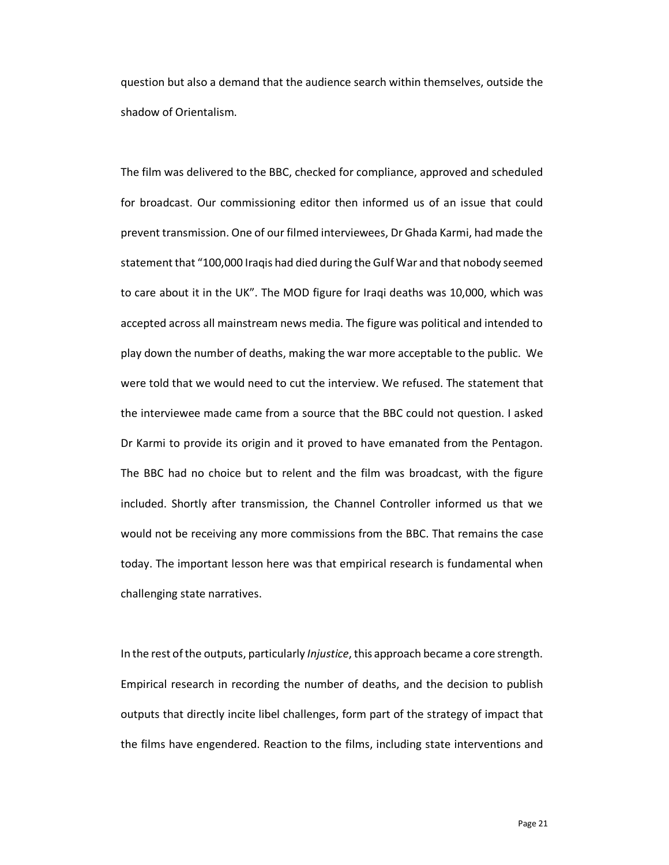question but also a demand that the audience search within themselves, outside the shadow of Orientalism.

The film was delivered to the BBC, checked for compliance, approved and scheduled for broadcast. Our commissioning editor then informed us of an issue that could prevent transmission. One of our filmed interviewees, Dr Ghada Karmi, had made the statement that "100,000 Iraqis had died during the Gulf War and that nobody seemed to care about it in the UK". The MOD figure for Iraqi deaths was 10,000, which was accepted across all mainstream news media. The figure was political and intended to play down the number of deaths, making the war more acceptable to the public. We were told that we would need to cut the interview. We refused. The statement that the interviewee made came from a source that the BBC could not question. I asked Dr Karmi to provide its origin and it proved to have emanated from the Pentagon. The BBC had no choice but to relent and the film was broadcast, with the figure included. Shortly after transmission, the Channel Controller informed us that we would not be receiving any more commissions from the BBC. That remains the case today. The important lesson here was that empirical research is fundamental when challenging state narratives.

In the rest ofthe outputs, particularly *Injustice*, this approach became a core strength. Empirical research in recording the number of deaths, and the decision to publish outputs that directly incite libel challenges, form part of the strategy of impact that the films have engendered. Reaction to the films, including state interventions and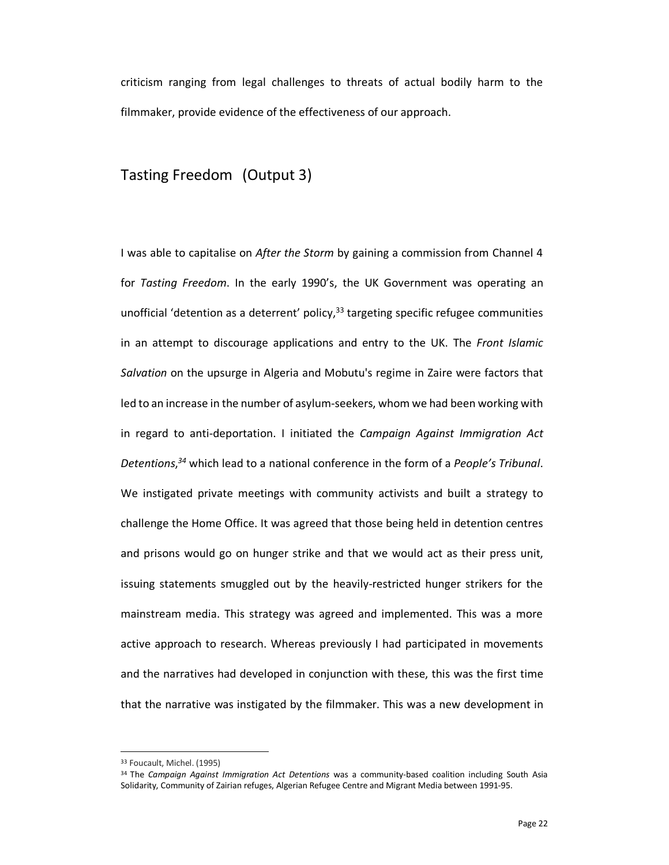criticism ranging from legal challenges to threats of actual bodily harm to the filmmaker, provide evidence of the effectiveness of our approach.

#### Tasting Freedom (Output 3)

I was able to capitalise on *After the Storm* by gaining a commission from Channel 4 for *Tasting Freedom*. In the early 1990's, the UK Government was operating an unofficial 'detention as a deterrent' policy,<sup>33</sup> targeting specific refugee communities in an attempt to discourage applications and entry to the UK. The *Front Islamic Salvation* on the upsurge in Algeria and Mobutu's regime in Zaire were factors that led to an increase in the number of asylum-seekers, whom we had been working with in regard to anti-deportation. I initiated the *Campaign Against Immigration Act Detentions*, *<sup>34</sup>* which lead to a national conference in the form of a *People's Tribunal*. We instigated private meetings with community activists and built a strategy to challenge the Home Office. It was agreed that those being held in detention centres and prisons would go on hunger strike and that we would act as their press unit, issuing statements smuggled out by the heavily-restricted hunger strikers for the mainstream media. This strategy was agreed and implemented. This was a more active approach to research. Whereas previously I had participated in movements and the narratives had developed in conjunction with these, this was the first time that the narrative was instigated by the filmmaker. This was a new development in

<sup>33</sup> Foucault, Michel. (1995)

<sup>34</sup> The *Campaign Against Immigration Act Detentions* was a community-based coalition including South Asia Solidarity, Community of Zairian refuges, Algerian Refugee Centre and Migrant Media between 1991-95.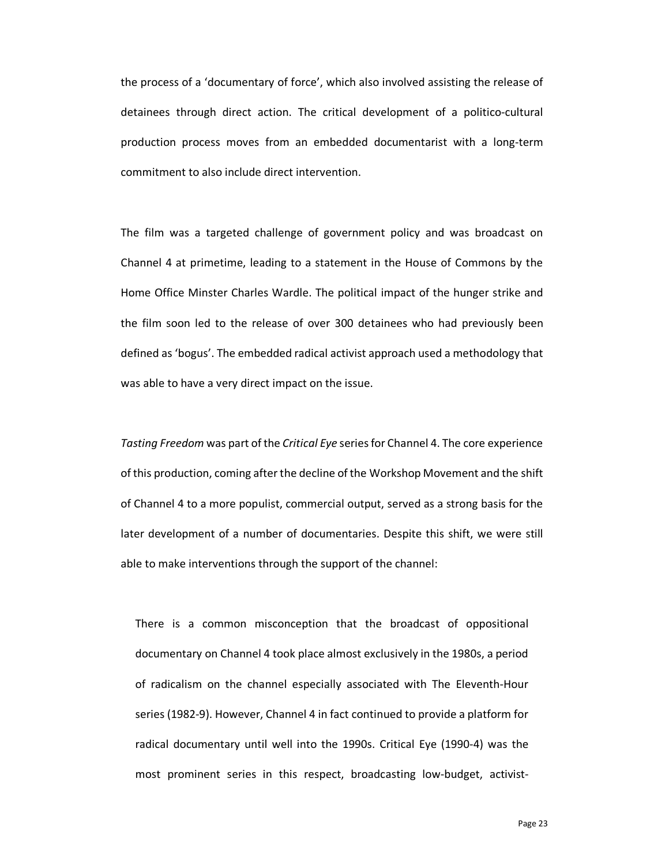the process of a 'documentary of force', which also involved assisting the release of detainees through direct action. The critical development of a politico-cultural production process moves from an embedded documentarist with a long-term commitment to also include direct intervention.

The film was a targeted challenge of government policy and was broadcast on Channel 4 at primetime, leading to a statement in the House of Commons by the Home Office Minster Charles Wardle. The political impact of the hunger strike and the film soon led to the release of over 300 detainees who had previously been defined as 'bogus'. The embedded radical activist approach used a methodology that was able to have a very direct impact on the issue.

*Tasting Freedom* was part of the *Critical Eye* series for Channel 4. The core experience of this production, coming after the decline of the Workshop Movement and the shift of Channel 4 to a more populist, commercial output, served as a strong basis for the later development of a number of documentaries. Despite this shift, we were still able to make interventions through the support of the channel:

There is a common misconception that the broadcast of oppositional documentary on Channel 4 took place almost exclusively in the 1980s, a period of radicalism on the channel especially associated with The Eleventh-Hour series (1982-9). However, Channel 4 in fact continued to provide a platform for radical documentary until well into the 1990s. Critical Eye (1990-4) was the most prominent series in this respect, broadcasting low-budget, activist-

Page 23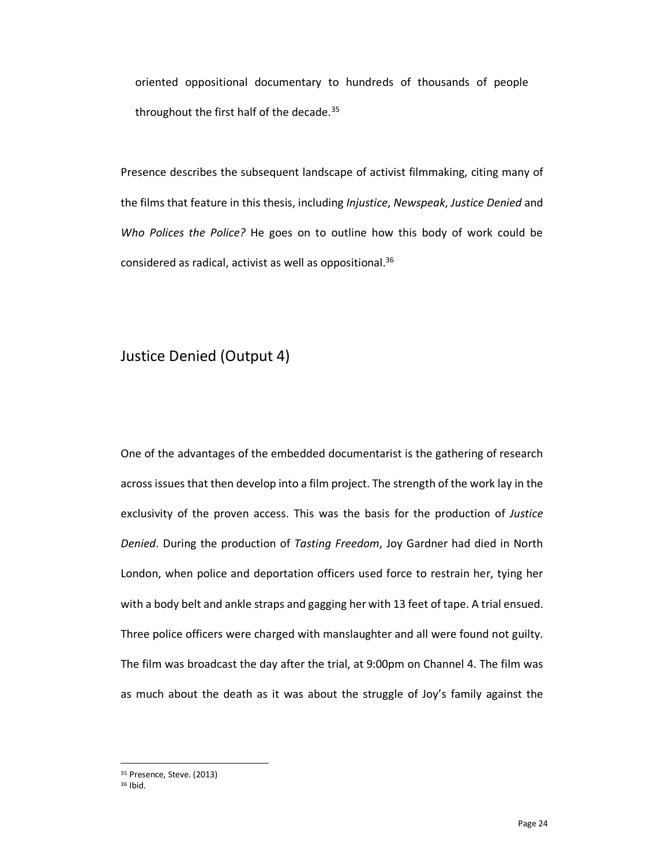oriented oppositional documentary to hundreds of thousands of people throughout the first half of the decade.<sup>35</sup>

Presence describes the subsequent landscape of activist filmmaking, citing many of the films that feature in this thesis, including *Injustice*, *Newspeak*, *Justice Denied* and *Who Polices the Police?* He goes on to outline how this body of work could be considered as radical, activist as well as oppositional. 36

#### Justice Denied (Output 4)

One of the advantages of the embedded documentarist is the gathering of research across issues that then develop into a film project. The strength of the work lay in the exclusivity of the proven access. This was the basis for the production of *Justice Denied*. During the production of *Tasting Freedom*, Joy Gardner had died in North London, when police and deportation officers used force to restrain her, tying her with a body belt and ankle straps and gagging her with 13 feet of tape. A trial ensued. Three police officers were charged with manslaughter and all were found not guilty. The film was broadcast the day after the trial, at 9:00pm on Channel 4. The film was as much about the death as it was about the struggle of Joy's family against the

<sup>35</sup> Presence, Steve. (2013)

<sup>36</sup> Ibid.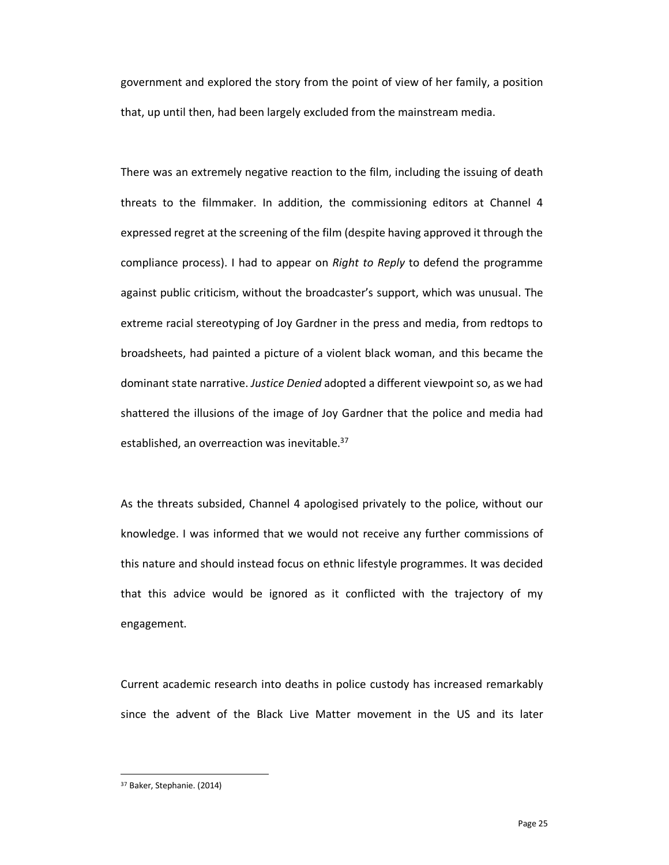government and explored the story from the point of view of her family, a position that, up until then, had been largely excluded from the mainstream media.

There was an extremely negative reaction to the film, including the issuing of death threats to the filmmaker. In addition, the commissioning editors at Channel 4 expressed regret at the screening of the film (despite having approved it through the compliance process). I had to appear on *Right to Reply* to defend the programme against public criticism, without the broadcaster's support, which was unusual. The extreme racial stereotyping of Joy Gardner in the press and media, from redtops to broadsheets, had painted a picture of a violent black woman, and this became the dominant state narrative. *Justice Denied* adopted a different viewpoint so, as we had shattered the illusions of the image of Joy Gardner that the police and media had established, an overreaction was inevitable.<sup>37</sup>

As the threats subsided, Channel 4 apologised privately to the police, without our knowledge. I was informed that we would not receive any further commissions of this nature and should instead focus on ethnic lifestyle programmes. It was decided that this advice would be ignored as it conflicted with the trajectory of my engagement.

Current academic research into deaths in police custody has increased remarkably since the advent of the Black Live Matter movement in the US and its later

<sup>37</sup> Baker, Stephanie. (2014)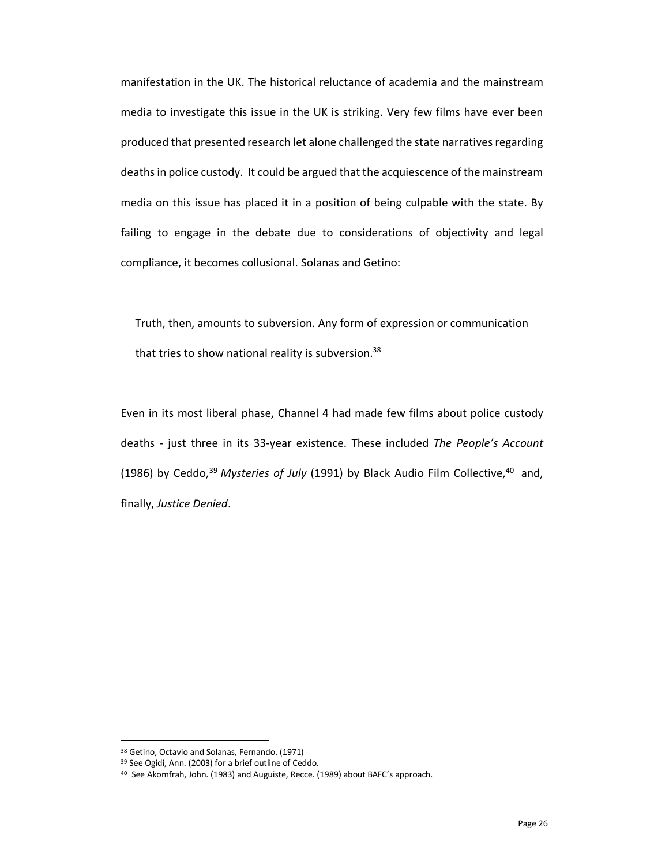manifestation in the UK. The historical reluctance of academia and the mainstream media to investigate this issue in the UK is striking. Very few films have ever been produced that presented research let alone challenged the state narratives regarding deaths in police custody. It could be argued that the acquiescence of the mainstream media on this issue has placed it in a position of being culpable with the state. By failing to engage in the debate due to considerations of objectivity and legal compliance, it becomes collusional. Solanas and Getino:

Truth, then, amounts to subversion. Any form of expression or communication that tries to show national reality is subversion.<sup>38</sup>

Even in its most liberal phase, Channel 4 had made few films about police custody deaths - just three in its 33-year existence. These included *The People's Account* (1986) by Ceddo, <sup>39</sup> *Mysteries of July* (1991) by Black Audio Film Collective, 40 and, finally, *Justice Denied*.

<sup>38</sup> Getino, Octavio and Solanas, Fernando. (1971)

<sup>39</sup> See Ogidi, Ann. (2003) for a brief outline of Ceddo.

<sup>40</sup> See Akomfrah, John. (1983) and Auguiste, Recce. (1989) about BAFC's approach.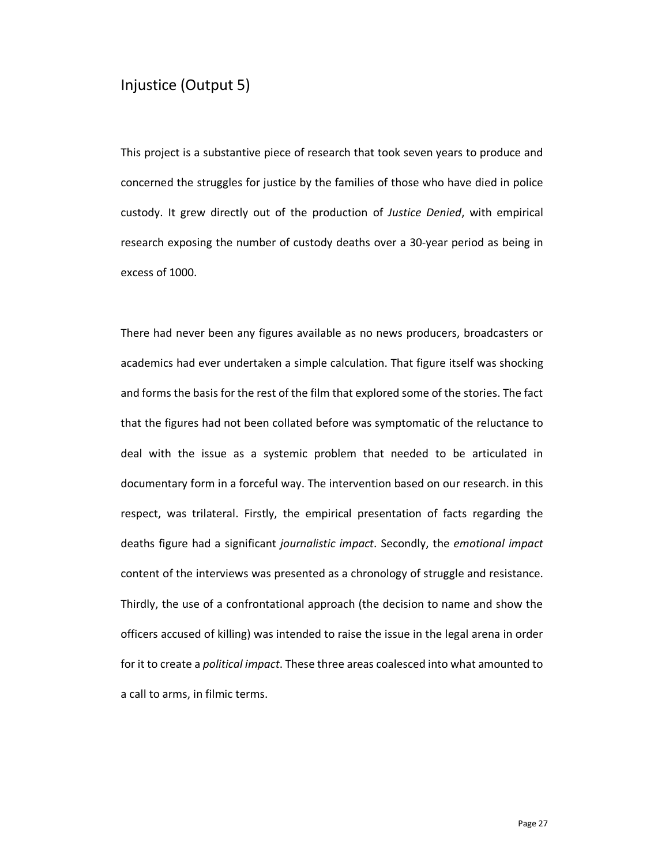#### Injustice (Output 5)

This project is a substantive piece of research that took seven years to produce and concerned the struggles for justice by the families of those who have died in police custody. It grew directly out of the production of *Justice Denied*, with empirical research exposing the number of custody deaths over a 30-year period as being in excess of 1000.

There had never been any figures available as no news producers, broadcasters or academics had ever undertaken a simple calculation. That figure itself was shocking and forms the basis for the rest of the film that explored some of the stories. The fact that the figures had not been collated before was symptomatic of the reluctance to deal with the issue as a systemic problem that needed to be articulated in documentary form in a forceful way. The intervention based on our research. in this respect, was trilateral. Firstly, the empirical presentation of facts regarding the deaths figure had a significant *journalistic impact*. Secondly, the *emotional impact* content of the interviews was presented as a chronology of struggle and resistance. Thirdly, the use of a confrontational approach (the decision to name and show the officers accused of killing) was intended to raise the issue in the legal arena in order for it to create a *political impact*. These three areas coalesced into what amounted to a call to arms, in filmic terms.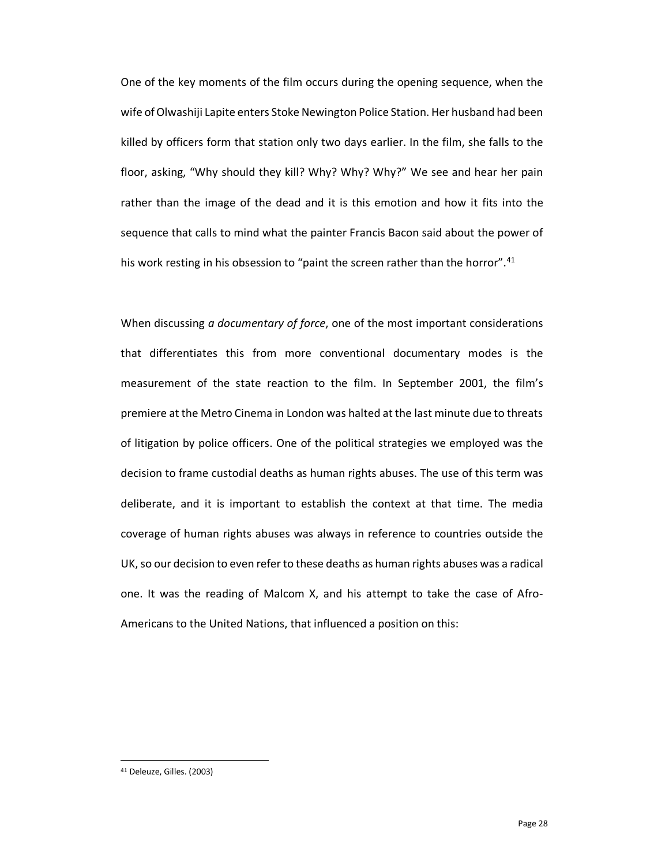One of the key moments of the film occurs during the opening sequence, when the wife of Olwashiji Lapite enters Stoke Newington Police Station. Her husband had been killed by officers form that station only two days earlier. In the film, she falls to the floor, asking, "Why should they kill? Why? Why? Why?" We see and hear her pain rather than the image of the dead and it is this emotion and how it fits into the sequence that calls to mind what the painter Francis Bacon said about the power of his work resting in his obsession to "paint the screen rather than the horror".<sup>41</sup>

When discussing *a documentary of force*, one of the most important considerations that differentiates this from more conventional documentary modes is the measurement of the state reaction to the film. In September 2001, the film's premiere at the Metro Cinema in London was halted at the last minute due to threats of litigation by police officers. One of the political strategies we employed was the decision to frame custodial deaths as human rights abuses. The use of this term was deliberate, and it is important to establish the context at that time. The media coverage of human rights abuses was always in reference to countries outside the UK, so our decision to even refer to these deaths as human rights abuses was a radical one. It was the reading of Malcom X, and his attempt to take the case of Afro-Americans to the United Nations, that influenced a position on this:

<sup>41</sup> Deleuze, Gilles. (2003)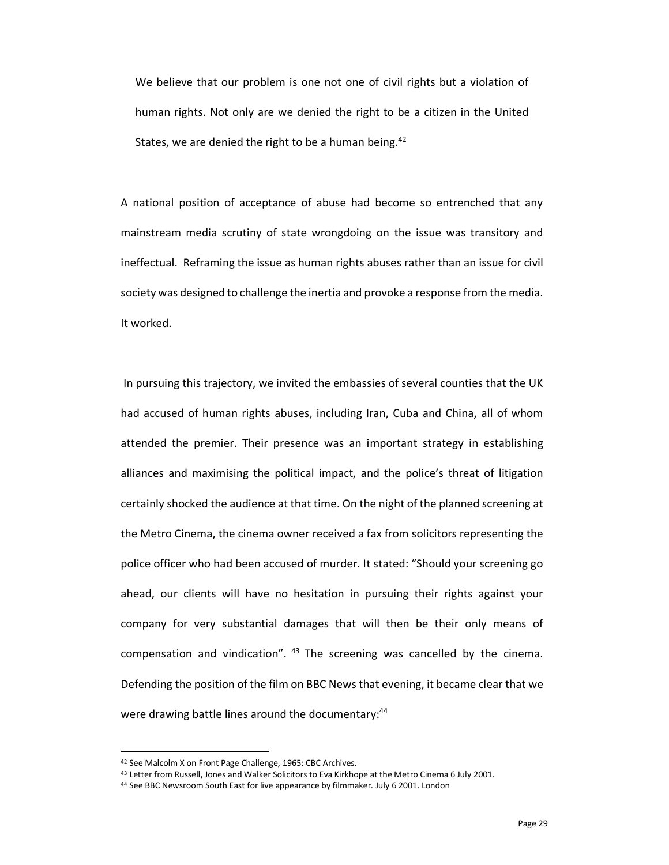We believe that our problem is one not one of civil rights but a violation of human rights. Not only are we denied the right to be a citizen in the United States, we are denied the right to be a human being.<sup>42</sup>

A national position of acceptance of abuse had become so entrenched that any mainstream media scrutiny of state wrongdoing on the issue was transitory and ineffectual. Reframing the issue as human rights abuses rather than an issue for civil society was designed to challenge the inertia and provoke a response from the media. It worked.

In pursuing this trajectory, we invited the embassies of several counties that the UK had accused of human rights abuses, including Iran, Cuba and China, all of whom attended the premier. Their presence was an important strategy in establishing alliances and maximising the political impact, and the police's threat of litigation certainly shocked the audience at that time. On the night of the planned screening at the Metro Cinema, the cinema owner received a fax from solicitors representing the police officer who had been accused of murder. It stated: "Should your screening go ahead, our clients will have no hesitation in pursuing their rights against your company for very substantial damages that will then be their only means of compensation and vindication". <sup>43</sup> The screening was cancelled by the cinema. Defending the position of the film on BBC News that evening, it became clear that we were drawing battle lines around the documentary:<sup>44</sup>

<sup>&</sup>lt;sup>42</sup> See Malcolm X on Front Page Challenge, 1965: CBC Archives.<br><sup>43</sup> Letter from Russell, Jones and Walker Solicitors to Eva Kirkhope at the Metro Cinema 6 July 2001.

<sup>&</sup>lt;sup>44</sup> See BBC Newsroom South East for live appearance by filmmaker. July 6 2001. London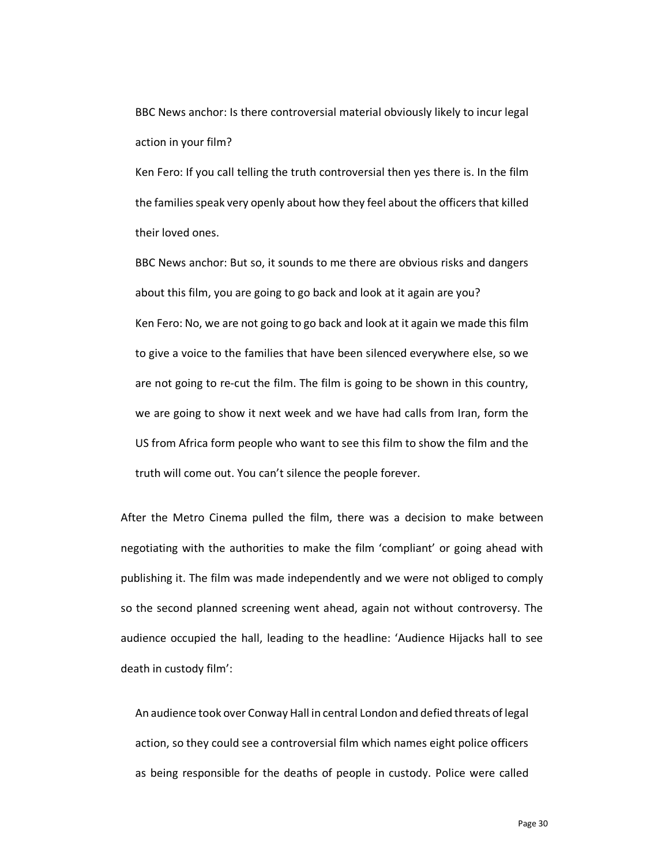BBC News anchor: Is there controversial material obviously likely to incur legal action in your film?

Ken Fero: If you call telling the truth controversial then yes there is. In the film the families speak very openly about how they feel about the officers that killed their loved ones.

BBC News anchor: But so, it sounds to me there are obvious risks and dangers about this film, you are going to go back and look at it again are you? Ken Fero: No, we are not going to go back and look at it again we made this film to give a voice to the families that have been silenced everywhere else, so we are not going to re-cut the film. The film is going to be shown in this country, we are going to show it next week and we have had calls from Iran, form the US from Africa form people who want to see this film to show the film and the truth will come out. You can't silence the people forever.

After the Metro Cinema pulled the film, there was a decision to make between negotiating with the authorities to make the film 'compliant' or going ahead with publishing it. The film was made independently and we were not obliged to comply so the second planned screening went ahead, again not without controversy. The audience occupied the hall, leading to the headline: 'Audience Hijacks hall to see death in custody film':

An audience took over Conway Hall in central London and defied threats of legal action, so they could see a controversial film which names eight police officers as being responsible for the deaths of people in custody. Police were called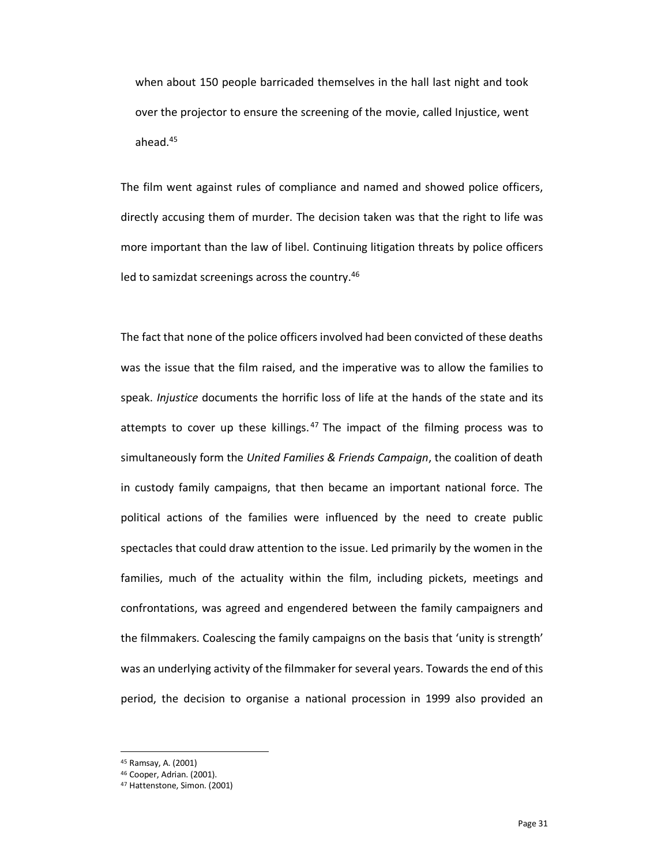when about 150 people barricaded themselves in the hall last night and took over the projector to ensure the screening of the movie, called Injustice, went ahead.45

The film went against rules of compliance and named and showed police officers, directly accusing them of murder. The decision taken was that the right to life was more important than the law of libel. Continuing litigation threats by police officers led to samizdat screenings across the country.46

The fact that none of the police officers involved had been convicted of these deaths was the issue that the film raised, and the imperative was to allow the families to speak. *Injustice* documents the horrific loss of life at the hands of the state and its attempts to cover up these killings.<sup>47</sup> The impact of the filming process was to simultaneously form the *United Families & Friends Campaign*, the coalition of death in custody family campaigns, that then became an important national force. The political actions of the families were influenced by the need to create public spectacles that could draw attention to the issue. Led primarily by the women in the families, much of the actuality within the film, including pickets, meetings and confrontations, was agreed and engendered between the family campaigners and the filmmakers. Coalescing the family campaigns on the basis that 'unity is strength' was an underlying activity of the filmmaker for several years. Towards the end of this period, the decision to organise a national procession in 1999 also provided an

<sup>45</sup> Ramsay, A. (2001)<br><sup>46</sup> Cooper, Adrian. (2001).

<sup>&</sup>lt;sup>47</sup> Hattenstone, Simon. (2001).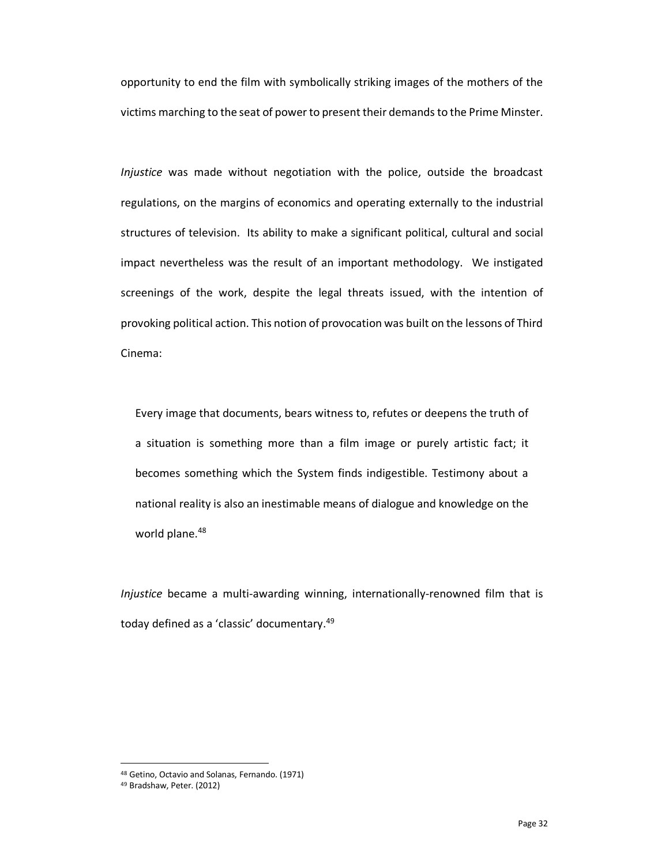opportunity to end the film with symbolically striking images of the mothers of the victims marching to the seat of power to present their demands to the Prime Minster.

*Injustice* was made without negotiation with the police, outside the broadcast regulations, on the margins of economics and operating externally to the industrial structures of television. Its ability to make a significant political, cultural and social impact nevertheless was the result of an important methodology. We instigated screenings of the work, despite the legal threats issued, with the intention of provoking political action. This notion of provocation was built on the lessons of Third Cinema:

Every image that documents, bears witness to, refutes or deepens the truth of a situation is something more than a film image or purely artistic fact; it becomes something which the System finds indigestible. Testimony about a national reality is also an inestimable means of dialogue and knowledge on the world plane.<sup>48</sup>

*Injustice* became a multi-awarding winning, internationally-renowned film that is today defined as a 'classic' documentary.49

<sup>48</sup> Getino, Octavio and Solanas, Fernando. (1971)

<sup>49</sup> Bradshaw, Peter. (2012)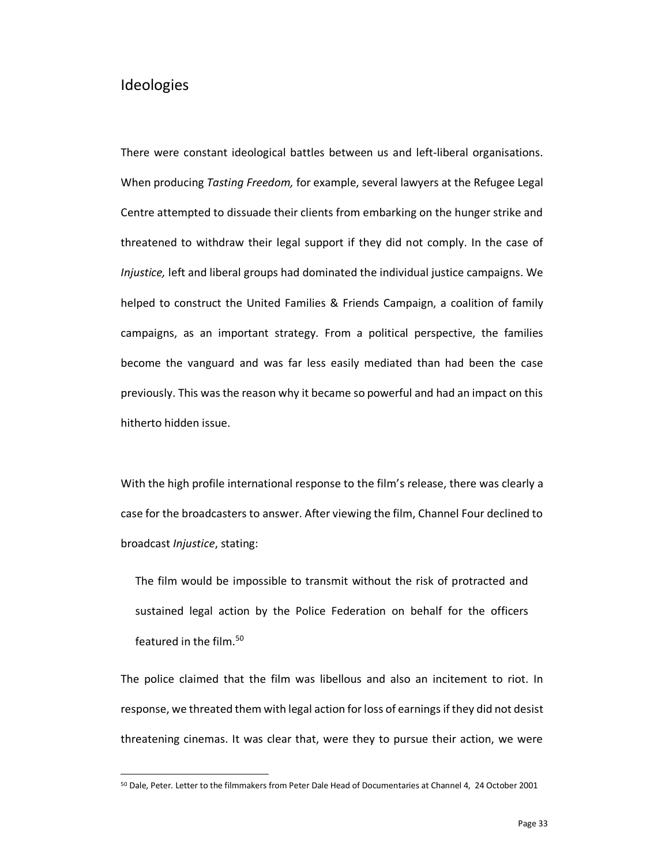#### Ideologies

-

There were constant ideological battles between us and left-liberal organisations. When producing *Tasting Freedom,* for example, several lawyers at the Refugee Legal Centre attempted to dissuade their clients from embarking on the hunger strike and threatened to withdraw their legal support if they did not comply. In the case of *Injustice,* left and liberal groups had dominated the individual justice campaigns. We helped to construct the United Families & Friends Campaign, a coalition of family campaigns, as an important strategy. From a political perspective, the families become the vanguard and was far less easily mediated than had been the case previously. This was the reason why it became so powerful and had an impact on this hitherto hidden issue.

With the high profile international response to the film's release, there was clearly a case for the broadcasters to answer. After viewing the film, Channel Four declined to broadcast *Injustice*, stating:

The film would be impossible to transmit without the risk of protracted and sustained legal action by the Police Federation on behalf for the officers featured in the film. 50

The police claimed that the film was libellous and also an incitement to riot. In response, we threated them with legal action for loss of earnings if they did not desist threatening cinemas. It was clear that, were they to pursue their action, we were

<sup>50</sup> Dale, Peter. Letter to the filmmakers from Peter Dale Head of Documentaries at Channel 4, 24 October 2001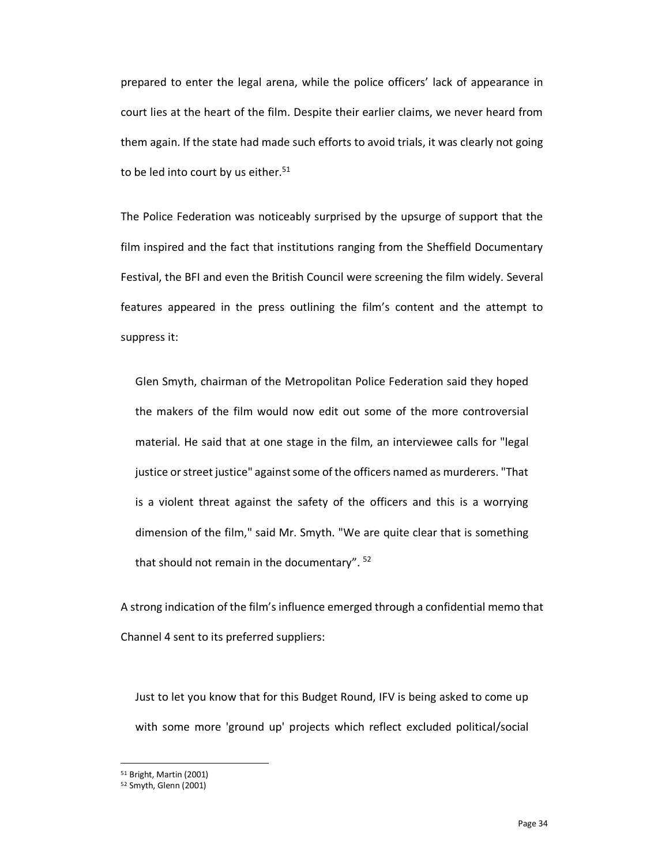prepared to enter the legal arena, while the police officers' lack of appearance in court lies at the heart of the film. Despite their earlier claims, we never heard from them again. If the state had made such efforts to avoid trials, it was clearly not going to be led into court by us either. $51$ 

The Police Federation was noticeably surprised by the upsurge of support that the film inspired and the fact that institutions ranging from the Sheffield Documentary Festival, the BFI and even the British Council were screening the film widely. Several features appeared in the press outlining the film's content and the attempt to suppress it:

Glen Smyth, chairman of the Metropolitan Police Federation said they hoped the makers of the film would now edit out some of the more controversial material. He said that at one stage in the film, an interviewee calls for "legal justice or street justice" against some of the officers named as murderers. "That is a violent threat against the safety of the officers and this is a worrying dimension of the film," said Mr. Smyth. "We are quite clear that is something that should not remain in the documentary". <sup>52</sup>

A strong indication of the film's influence emerged through a confidential memo that Channel 4 sent to its preferred suppliers:

Just to let you know that for this Budget Round, IFV is being asked to come up with some more 'ground up' projects which reflect excluded political/social

<sup>51</sup> Bright, Martin (2001)

<sup>52</sup> Smyth, Glenn (2001)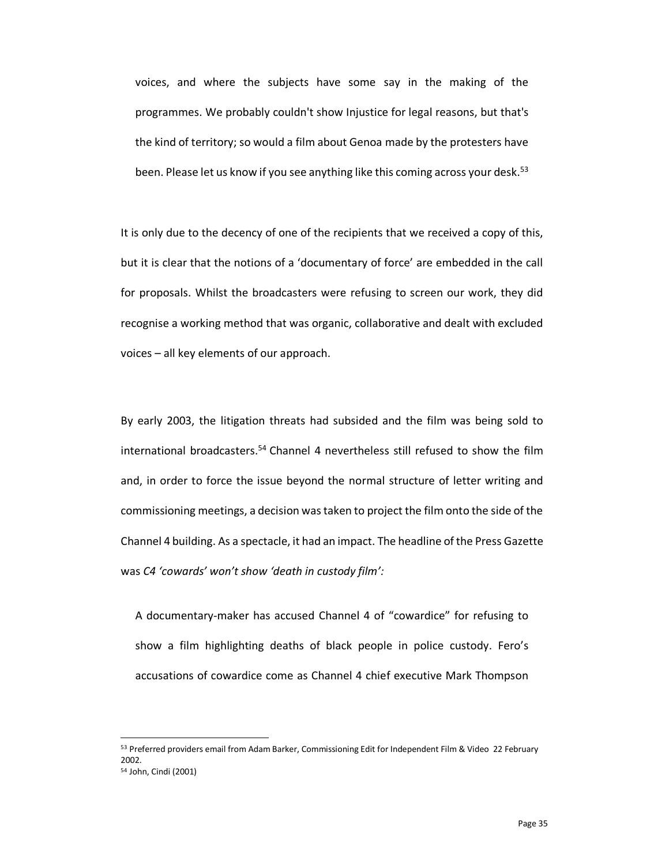voices, and where the subjects have some say in the making of the programmes. We probably couldn't show Injustice for legal reasons, but that's the kind of territory; so would a film about Genoa made by the protesters have been. Please let us know if you see anything like this coming across your desk.<sup>53</sup>

It is only due to the decency of one of the recipients that we received a copy of this, but it is clear that the notions of a 'documentary of force' are embedded in the call for proposals. Whilst the broadcasters were refusing to screen our work, they did recognise a working method that was organic, collaborative and dealt with excluded voices – all key elements of our approach.

By early 2003, the litigation threats had subsided and the film was being sold to international broadcasters. <sup>54</sup> Channel 4 nevertheless still refused to show the film and, in order to force the issue beyond the normal structure of letter writing and commissioning meetings, a decision was taken to project the film onto the side of the Channel 4 building. As a spectacle, it had an impact. The headline of the Press Gazette was *C4 'cowards' won't show 'death in custody film':*

A documentary-maker has accused Channel 4 of "cowardice" for refusing to show a film highlighting deaths of black people in police custody. Fero's accusations of cowardice come as Channel 4 chief executive Mark Thompson

<sup>53</sup> Preferred providers email from Adam Barker, Commissioning Edit for Independent Film & Video 22 February 2002. <sup>54</sup> John, Cindi (2001)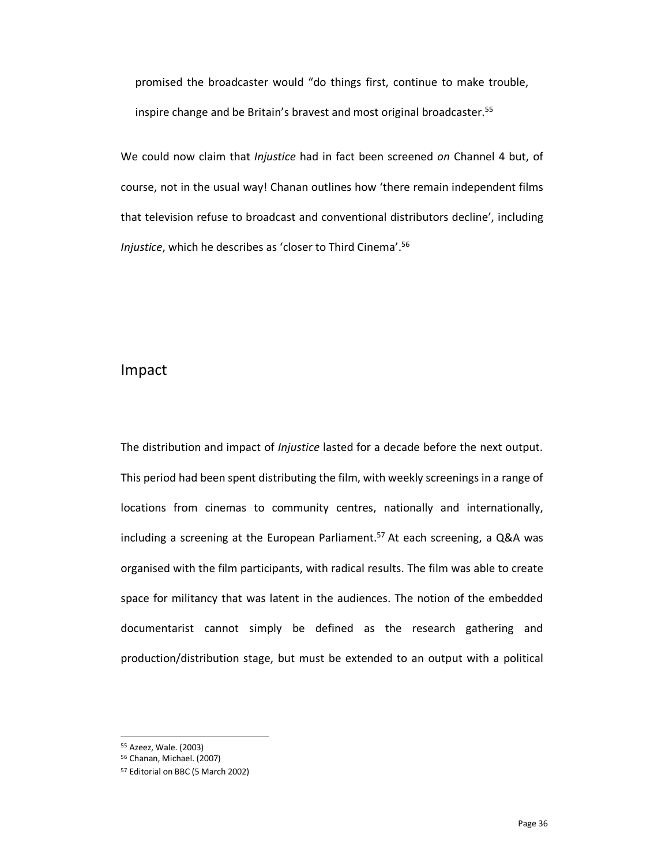promised the broadcaster would "do things first, continue to make trouble, inspire change and be Britain's bravest and most original broadcaster. 55

We could now claim that *Injustice* had in fact been screened *on* Channel 4 but, of course, not in the usual way! Chanan outlines how 'there remain independent films that television refuse to broadcast and conventional distributors decline', including *Injustice*, which he describes as 'closer to Third Cinema'. 56

#### Impact

The distribution and impact of *Injustice* lasted for a decade before the next output. This period had been spent distributing the film, with weekly screenings in a range of locations from cinemas to community centres, nationally and internationally, including a screening at the European Parliament.<sup>57</sup> At each screening, a Q&A was organised with the film participants, with radical results. The film was able to create space for militancy that was latent in the audiences. The notion of the embedded documentarist cannot simply be defined as the research gathering and production/distribution stage, but must be extended to an output with a political

<sup>55</sup> Azeez, Wale. (2003)

<sup>56</sup> Chanan, Michael. (2007)

<sup>57</sup> Editorial on BBC (5 March 2002)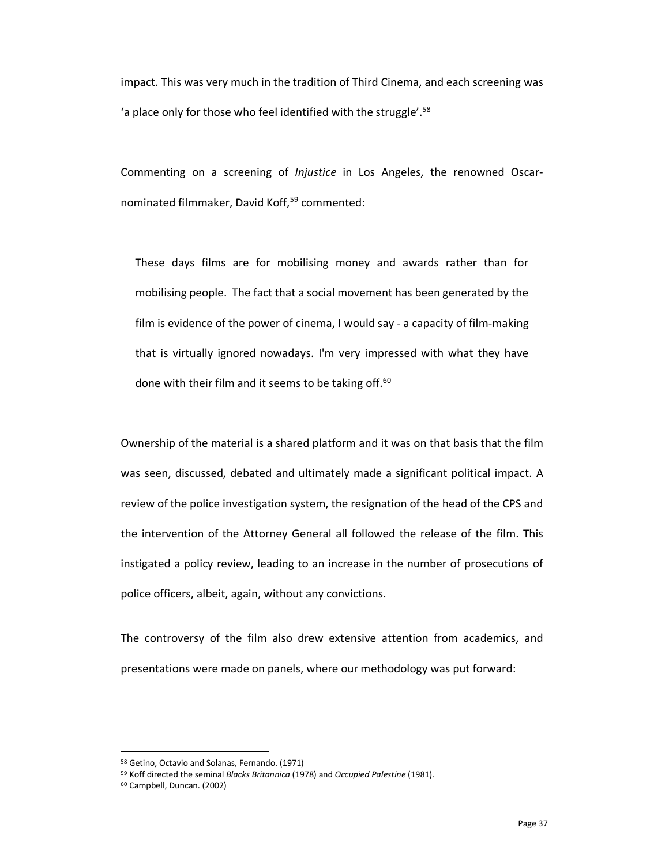impact. This was very much in the tradition of Third Cinema, and each screening was 'a place only for those who feel identified with the struggle'. 58

Commenting on a screening of *Injustice* in Los Angeles, the renowned Oscarnominated filmmaker, David Koff, <sup>59</sup> commented:

These days films are for mobilising money and awards rather than for mobilising people. The fact that a social movement has been generated by the film is evidence of the power of cinema, I would say - a capacity of film-making that is virtually ignored nowadays. I'm very impressed with what they have done with their film and it seems to be taking off.<sup>60</sup>

Ownership of the material is a shared platform and it was on that basis that the film was seen, discussed, debated and ultimately made a significant political impact. A review of the police investigation system, the resignation of the head of the CPS and the intervention of the Attorney General all followed the release of the film. This instigated a policy review, leading to an increase in the number of prosecutions of police officers, albeit, again, without any convictions.

The controversy of the film also drew extensive attention from academics, and presentations were made on panels, where our methodology was put forward:

<sup>58</sup> Getino, Octavio and Solanas, Fernando. (1971)

<sup>59</sup> Koff directed the seminal *Blacks Britannica* (1978) and *Occupied Palestine* (1981).

<sup>60</sup> Campbell, Duncan. (2002)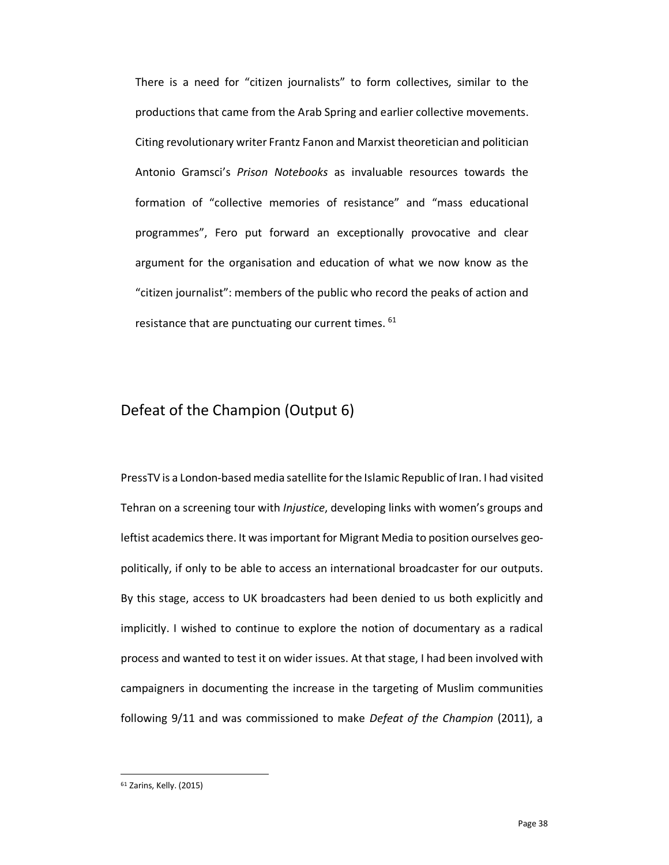There is a need for "citizen journalists" to form collectives, similar to the productions that came from the Arab Spring and earlier collective movements. Citing revolutionary writer Frantz Fanon and Marxist theoretician and politician Antonio Gramsci's *Prison Notebooks* as invaluable resources towards the formation of "collective memories of resistance" and "mass educational programmes", Fero put forward an exceptionally provocative and clear argument for the organisation and education of what we now know as the "citizen journalist": members of the public who record the peaks of action and resistance that are punctuating our current times. <sup>61</sup>

#### Defeat of the Champion (Output 6)

PressTV is a London-based media satellite for the Islamic Republic of Iran. I had visited Tehran on a screening tour with *Injustice*, developing links with women's groups and leftist academics there. It was important for Migrant Media to position ourselves geopolitically, if only to be able to access an international broadcaster for our outputs. By this stage, access to UK broadcasters had been denied to us both explicitly and implicitly. I wished to continue to explore the notion of documentary as a radical process and wanted to test it on wider issues. At that stage, I had been involved with campaigners in documenting the increase in the targeting of Muslim communities following 9/11 and was commissioned to make *Defeat of the Champion* (2011), a

<sup>61</sup> Zarins, Kelly. (2015)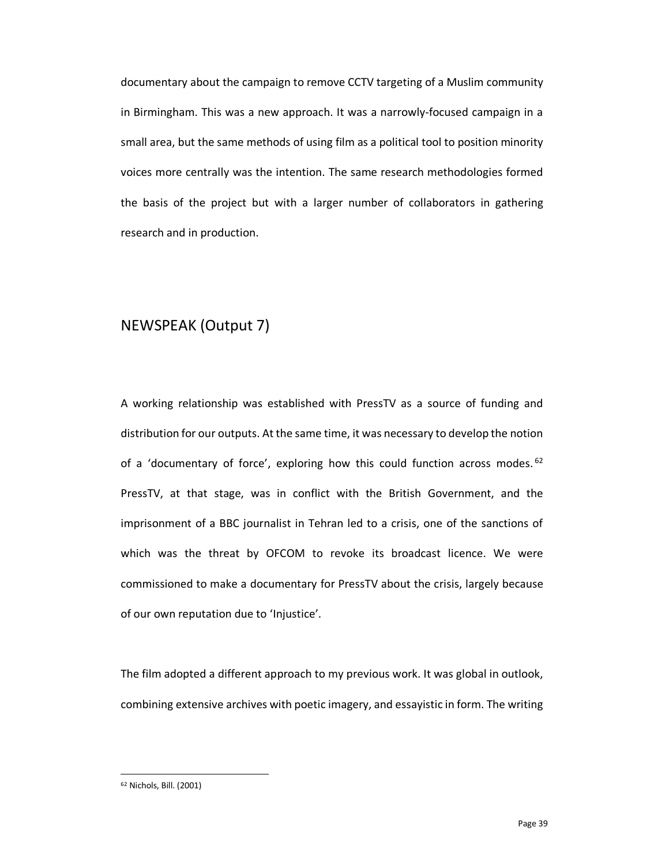documentary about the campaign to remove CCTV targeting of a Muslim community in Birmingham. This was a new approach. It was a narrowly-focused campaign in a small area, but the same methods of using film as a political tool to position minority voices more centrally was the intention. The same research methodologies formed the basis of the project but with a larger number of collaborators in gathering research and in production.

#### NEWSPEAK (Output 7)

A working relationship was established with PressTV as a source of funding and distribution for our outputs. At the same time, it was necessary to develop the notion of a 'documentary of force', exploring how this could function across modes.  $62$ PressTV, at that stage, was in conflict with the British Government, and the imprisonment of a BBC journalist in Tehran led to a crisis, one of the sanctions of which was the threat by OFCOM to revoke its broadcast licence. We were commissioned to make a documentary for PressTV about the crisis, largely because of our own reputation due to 'Injustice'.

The film adopted a different approach to my previous work. It was global in outlook, combining extensive archives with poetic imagery, and essayistic in form. The writing

<sup>62</sup> Nichols, Bill. (2001)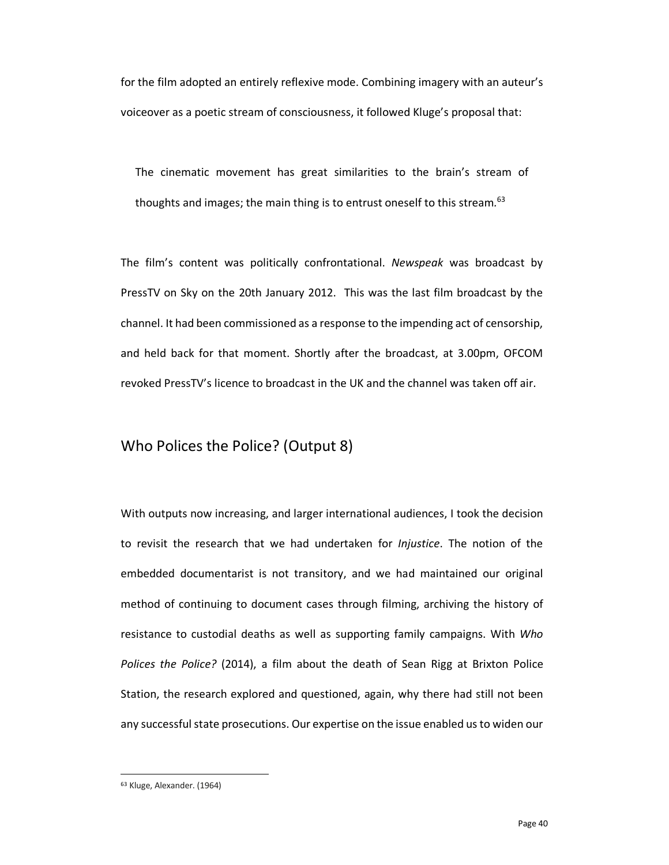for the film adopted an entirely reflexive mode. Combining imagery with an auteur's voiceover as a poetic stream of consciousness, it followed Kluge's proposal that:

The cinematic movement has great similarities to the brain's stream of thoughts and images; the main thing is to entrust oneself to this stream*.* 63

The film's content was politically confrontational. *Newspeak* was broadcast by PressTV on Sky on the 20th January 2012. This was the last film broadcast by the channel. It had been commissioned as a response to the impending act of censorship, and held back for that moment. Shortly after the broadcast, at 3.00pm, OFCOM revoked PressTV's licence to broadcast in the UK and the channel was taken off air.

#### Who Polices the Police? (Output 8)

With outputs now increasing, and larger international audiences, I took the decision to revisit the research that we had undertaken for *Injustice*. The notion of the embedded documentarist is not transitory, and we had maintained our original method of continuing to document cases through filming, archiving the history of resistance to custodial deaths as well as supporting family campaigns. With *Who Polices the Police?* (2014), a film about the death of Sean Rigg at Brixton Police Station, the research explored and questioned, again, why there had still not been any successful state prosecutions. Our expertise on the issue enabled us to widen our

<sup>63</sup> Kluge, Alexander. (1964)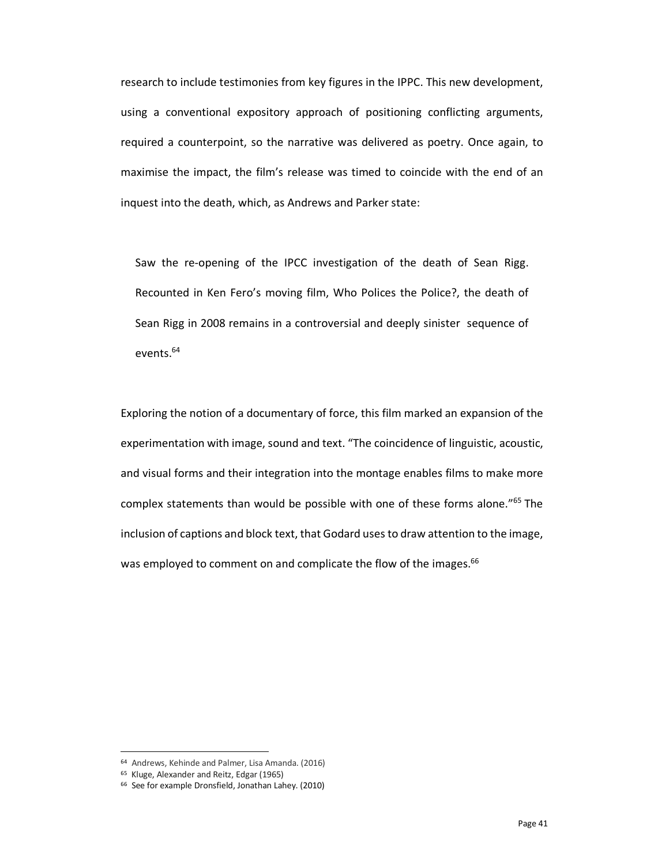research to include testimonies from key figures in the IPPC. This new development, using a conventional expository approach of positioning conflicting arguments, required a counterpoint, so the narrative was delivered as poetry. Once again, to maximise the impact, the film's release was timed to coincide with the end of an inquest into the death, which, as Andrews and Parker state:

Saw the re-opening of the IPCC investigation of the death of Sean Rigg. Recounted in Ken Fero's moving film, Who Polices the Police?, the death of Sean Rigg in 2008 remains in a controversial and deeply sinister sequence of events. 64

Exploring the notion of a documentary of force, this film marked an expansion of the experimentation with image, sound and text. "The coincidence of linguistic, acoustic, and visual forms and their integration into the montage enables films to make more complex statements than would be possible with one of these forms alone."65 The inclusion of captions and block text, that Godard uses to draw attention to the image, was employed to comment on and complicate the flow of the images.<sup>66</sup>

<sup>&</sup>lt;sup>64</sup> Andrews, Kehinde and Palmer, Lisa Amanda. (2016)<br><sup>65</sup> Kluge, Alexander and Reitz, Edgar (1965)

<sup>&</sup>lt;sup>66</sup> See for example Dronsfield, Jonathan Lahey. (2010)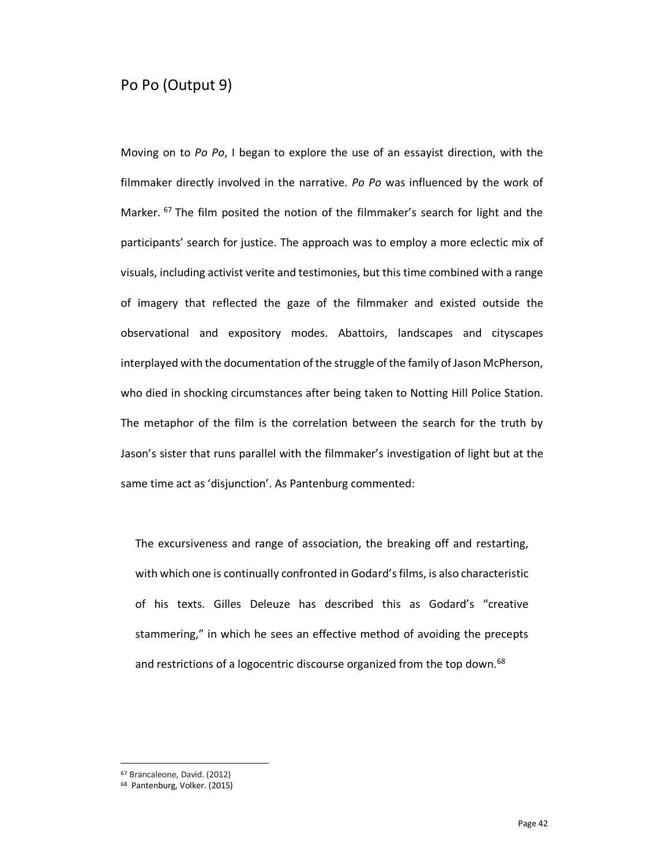#### Po Po (Output 9)

Moving on to *Po Po*, I began to explore the use of an essayist direction, with the filmmaker directly involved in the narrative. *Po Po* was influenced by the work of Marker. <sup>67</sup> The film posited the notion of the filmmaker's search for light and the participants' search for justice. The approach was to employ a more eclectic mix of visuals, including activist verite and testimonies, but this time combined with a range of imagery that reflected the gaze of the filmmaker and existed outside the observational and expository modes. Abattoirs, landscapes and cityscapes interplayed with the documentation of the struggle of the family of Jason McPherson, who died in shocking circumstances after being taken to Notting Hill Police Station. The metaphor of the film is the correlation between the search for the truth by Jason's sister that runs parallel with the filmmaker's investigation of light but at the same time act as 'disjunction'. As Pantenburg commented:

The excursiveness and range of association, the breaking off and restarting, with which one is continually confronted in Godard's films, is also characteristic of his texts. Gilles Deleuze has described this as Godard's "creative stammering," in which he sees an effective method of avoiding the precepts and restrictions of a logocentric discourse organized from the top down.<sup>68</sup>

<sup>67</sup> Brancaleone, David. (2012)

<sup>68</sup> Pantenburg, Volker. (2015)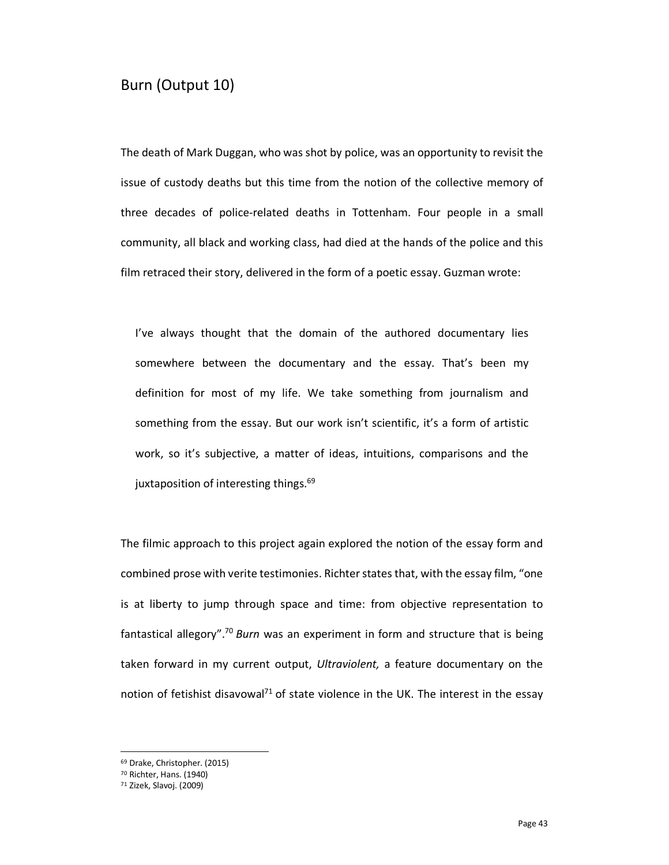#### Burn (Output 10)

The death of Mark Duggan, who was shot by police, was an opportunity to revisit the issue of custody deaths but this time from the notion of the collective memory of three decades of police-related deaths in Tottenham. Four people in a small community, all black and working class, had died at the hands of the police and this film retraced their story, delivered in the form of a poetic essay. Guzman wrote:

I've always thought that the domain of the authored documentary lies somewhere between the documentary and the essay. That's been my definition for most of my life. We take something from journalism and something from the essay. But our work isn't scientific, it's a form of artistic work, so it's subjective, a matter of ideas, intuitions, comparisons and the juxtaposition of interesting things.<sup>69</sup>

The filmic approach to this project again explored the notion of the essay form and combined prose with verite testimonies. Richter states that, with the essay film, "one is at liberty to jump through space and time: from objective representation to fantastical allegory". <sup>70</sup> *Burn* was an experiment in form and structure that is being taken forward in my current output, *Ultraviolent,* a feature documentary on the notion of fetishist disavowal<sup>71</sup> of state violence in the UK. The interest in the essay

<sup>69</sup> Drake, Christopher. (2015)

<sup>70</sup> Richter, Hans. (1940)

<sup>71</sup> Zizek, Slavoj. (2009)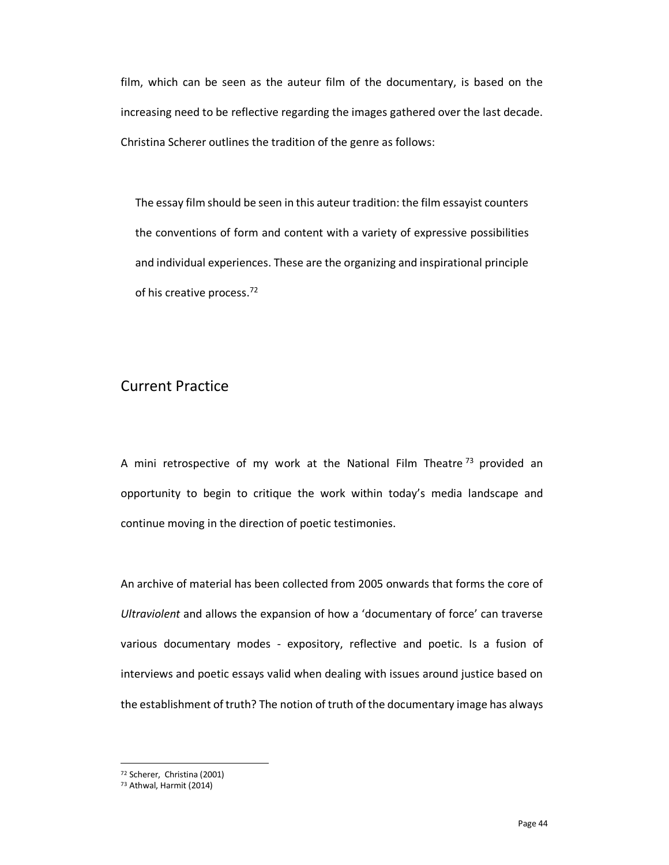film, which can be seen as the auteur film of the documentary, is based on the increasing need to be reflective regarding the images gathered over the last decade. Christina Scherer outlines the tradition of the genre as follows:

The essay film should be seen in this auteur tradition: the film essayist counters the conventions of form and content with a variety of expressive possibilities and individual experiences. These are the organizing and inspirational principle of his creative process.72

#### Current Practice

A mini retrospective of my work at the National Film Theatre<sup>73</sup> provided an opportunity to begin to critique the work within today's media landscape and continue moving in the direction of poetic testimonies.

An archive of material has been collected from 2005 onwards that forms the core of *Ultraviolent* and allows the expansion of how a 'documentary of force' can traverse various documentary modes - expository, reflective and poetic. Is a fusion of interviews and poetic essays valid when dealing with issues around justice based on the establishment of truth? The notion of truth of the documentary image has always

<sup>72</sup> Scherer, Christina (2001)

<sup>73</sup> Athwal, Harmit (2014)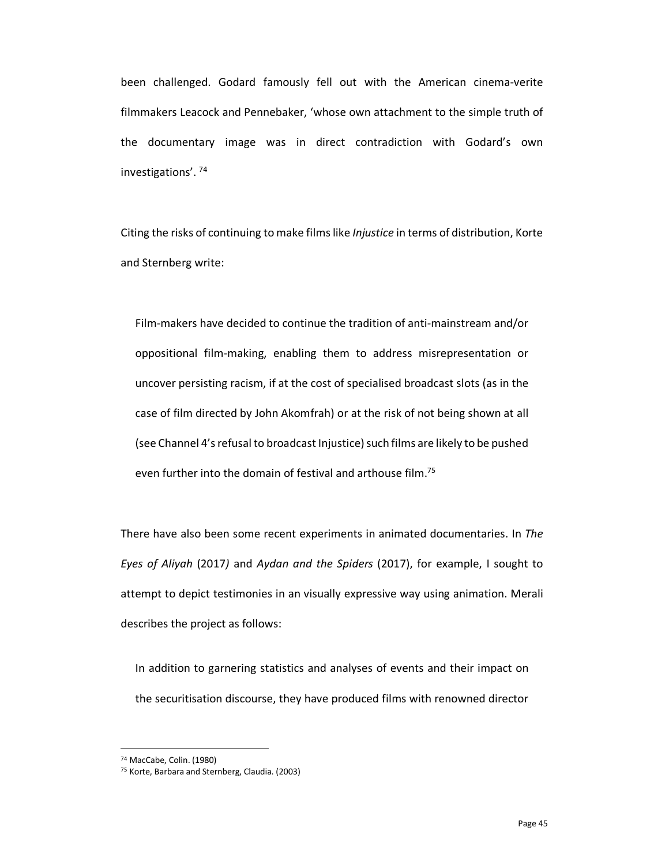been challenged. Godard famously fell out with the American cinema-verite filmmakers Leacock and Pennebaker, 'whose own attachment to the simple truth of the documentary image was in direct contradiction with Godard's own investigations'. <sup>74</sup>

Citing the risks of continuing to make films like *Injustice* in terms of distribution, Korte and Sternberg write:

Film-makers have decided to continue the tradition of anti-mainstream and/or oppositional film-making, enabling them to address misrepresentation or uncover persisting racism, if at the cost of specialised broadcast slots (as in the case of film directed by John Akomfrah) or at the risk of not being shown at all (see Channel 4's refusal to broadcast Injustice) such films are likely to be pushed even further into the domain of festival and arthouse film.<sup>75</sup>

There have also been some recent experiments in animated documentaries. In *The Eyes of Aliyah* (2017*)* and *Aydan and the Spiders* (2017), for example, I sought to attempt to depict testimonies in an visually expressive way using animation. Merali describes the project as follows:

In addition to garnering statistics and analyses of events and their impact on the securitisation discourse, they have produced films with renowned director

<sup>74</sup> MacCabe, Colin. (1980)

<sup>75</sup> Korte, Barbara and Sternberg, Claudia. (2003)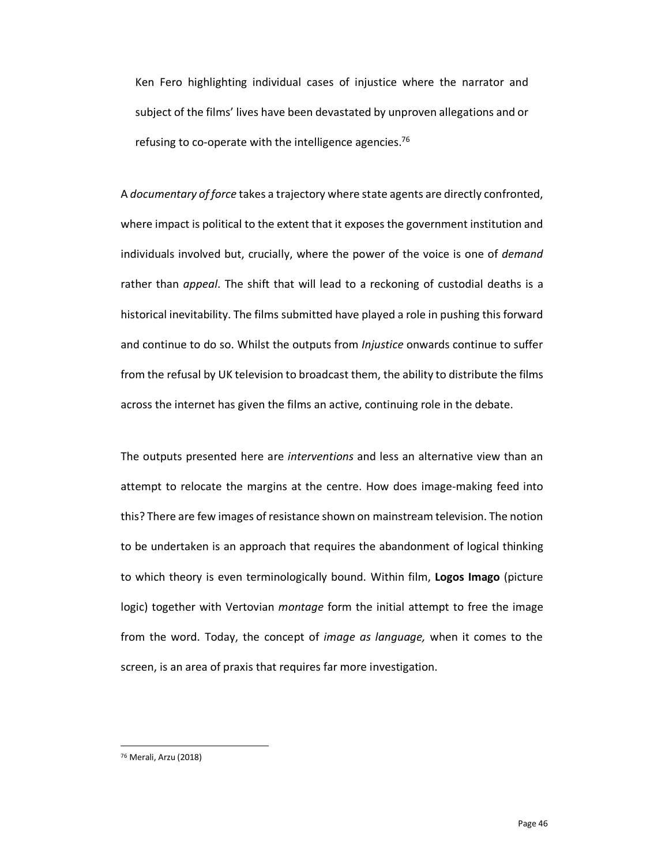Ken Fero highlighting individual cases of injustice where the narrator and subject of the films' lives have been devastated by unproven allegations and or refusing to co-operate with the intelligence agencies.<sup>76</sup>

A *documentary of force* takes a trajectory where state agents are directly confronted, where impact is political to the extent that it exposes the government institution and individuals involved but, crucially, where the power of the voice is one of *demand* rather than *appeal*. The shift that will lead to a reckoning of custodial deaths is a historical inevitability. The films submitted have played a role in pushing this forward and continue to do so. Whilst the outputs from *Injustice* onwards continue to suffer from the refusal by UK television to broadcast them, the ability to distribute the films across the internet has given the films an active, continuing role in the debate.

The outputs presented here are *interventions* and less an alternative view than an attempt to relocate the margins at the centre. How does image-making feed into this? There are few images of resistance shown on mainstream television. The notion to be undertaken is an approach that requires the abandonment of logical thinking to which theory is even terminologically bound. Within film, **Logos Imago** (picture logic) together with Vertovian *montage* form the initial attempt to free the image from the word. Today, the concept of *image as language,* when it comes to the screen, is an area of praxis that requires far more investigation.

<sup>76</sup> Merali, Arzu (2018)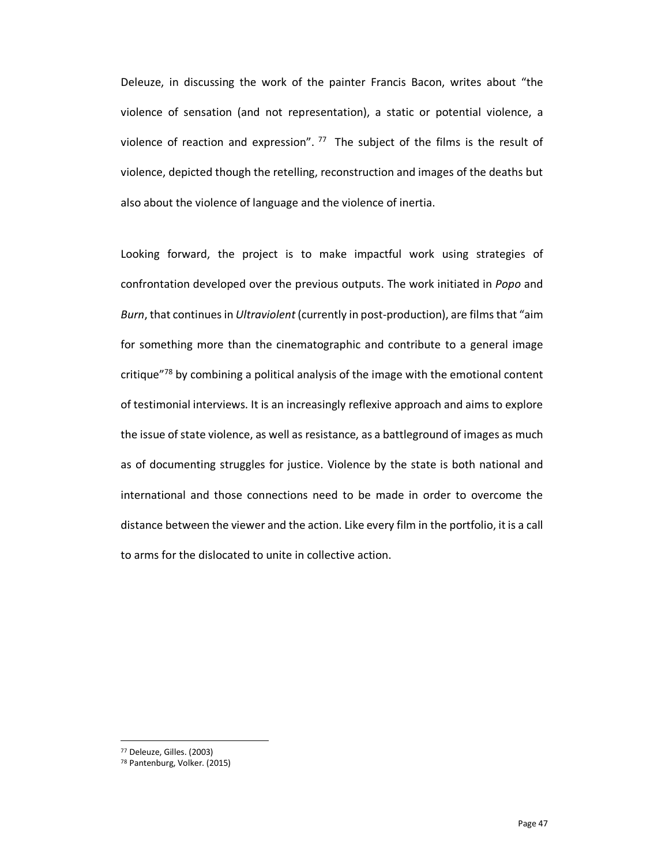Deleuze, in discussing the work of the painter Francis Bacon, writes about "the violence of sensation (and not representation), a static or potential violence, a violence of reaction and expression".  $77$  The subject of the films is the result of violence, depicted though the retelling, reconstruction and images of the deaths but also about the violence of language and the violence of inertia.

Looking forward, the project is to make impactful work using strategies of confrontation developed over the previous outputs. The work initiated in *Popo* and *Burn*, that continues in *Ultraviolent* (currently in post-production), are films that "aim for something more than the cinematographic and contribute to a general image critique $^{78}$  by combining a political analysis of the image with the emotional content of testimonial interviews. It is an increasingly reflexive approach and aims to explore the issue of state violence, as well as resistance, as a battleground of images as much as of documenting struggles for justice. Violence by the state is both national and international and those connections need to be made in order to overcome the distance between the viewer and the action. Like every film in the portfolio, it is a call to arms for the dislocated to unite in collective action.

<sup>77</sup> Deleuze, Gilles. (2003)

<sup>78</sup> Pantenburg, Volker. (2015)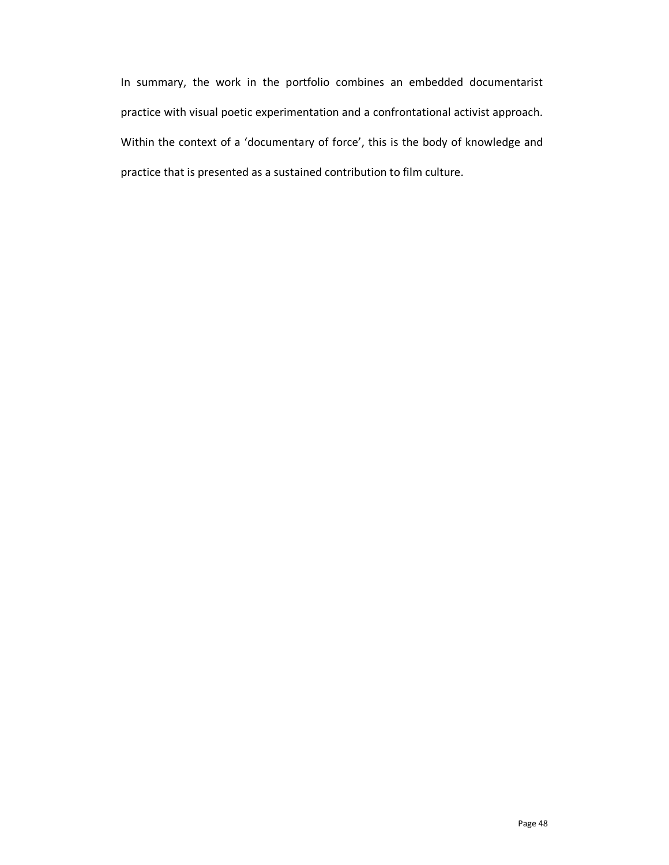In summary, the work in the portfolio combines an embedded documentarist practice with visual poetic experimentation and a confrontational activist approach. Within the context of a 'documentary of force', this is the body of knowledge and practice that is presented as a sustained contribution to film culture.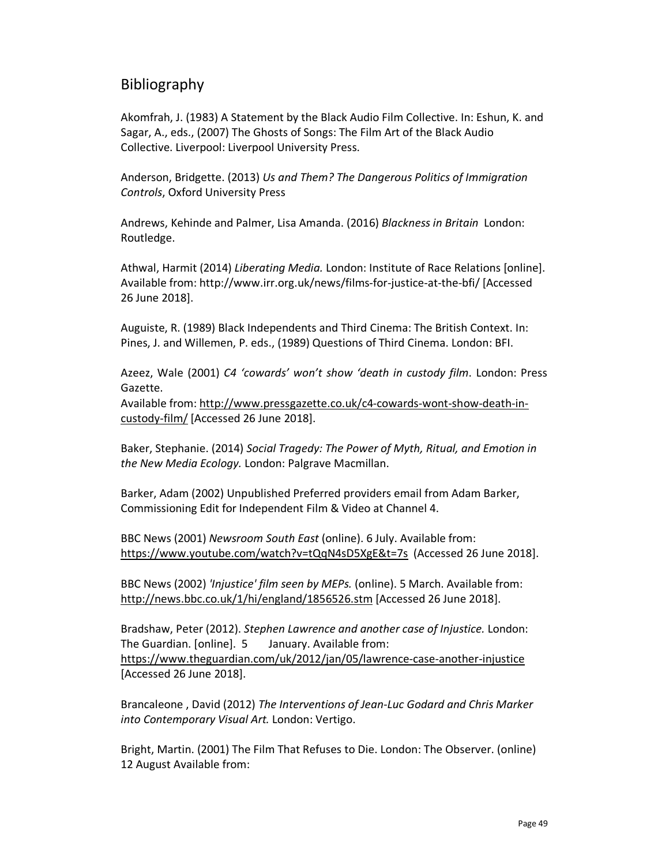#### Bibliography

Akomfrah, J. (1983) A Statement by the Black Audio Film Collective. In: Eshun, K. and Sagar, A., eds., (2007) The Ghosts of Songs: The Film Art of the Black Audio Collective. Liverpool: Liverpool University Press.

Anderson, Bridgette. (2013) *Us and Them? The Dangerous Politics of Immigration Controls*, Oxford University Press

Andrews, Kehinde and Palmer, Lisa Amanda. (2016) *Blackness in Britain* London: Routledge.

Athwal, Harmit (2014) *Liberating Media.* London: Institute of Race Relations [online]. Available from: http://www.irr.org.uk/news/films-for-justice-at-the-bfi/ [Accessed 26 June 2018].

Auguiste, R. (1989) Black Independents and Third Cinema: The British Context. In: Pines, J. and Willemen, P. eds., (1989) Questions of Third Cinema. London: BFI.

Azeez, Wale (2001) *C4 'cowards' won't show 'death in custody film*. London: Press Gazette.

Available from: http://www.pressgazette.co.uk/c4-cowards-wont-show-death-incustody-film/ [Accessed 26 June 2018].

Baker, Stephanie. (2014) *Social Tragedy: The Power of Myth, Ritual, and Emotion in the New Media Ecology.* London: Palgrave Macmillan.

Barker, Adam (2002) Unpublished Preferred providers email from Adam Barker, Commissioning Edit for Independent Film & Video at Channel 4.

BBC News (2001) *Newsroom South East* (online). 6 July. Available from: https://www.youtube.com/watch?v=tQqN4sD5XgE&t=7s (Accessed 26 June 2018].

BBC News (2002) *'Injustice' film seen by MEPs.* (online). 5 March. Available from: http://news.bbc.co.uk/1/hi/england/1856526.stm [Accessed 26 June 2018].

Bradshaw, Peter (2012). *Stephen Lawrence and another case of Injustice.* London: The Guardian. [online]. 5 January. Available from: https://www.theguardian.com/uk/2012/jan/05/lawrence-case-another-injustice [Accessed 26 June 2018].

Brancaleone , David (2012) *The Interventions of Jean-Luc Godard and Chris Marker into Contemporary Visual Art.* London: Vertigo.

Bright, Martin. (2001) The Film That Refuses to Die. London: The Observer. (online) 12 August Available from: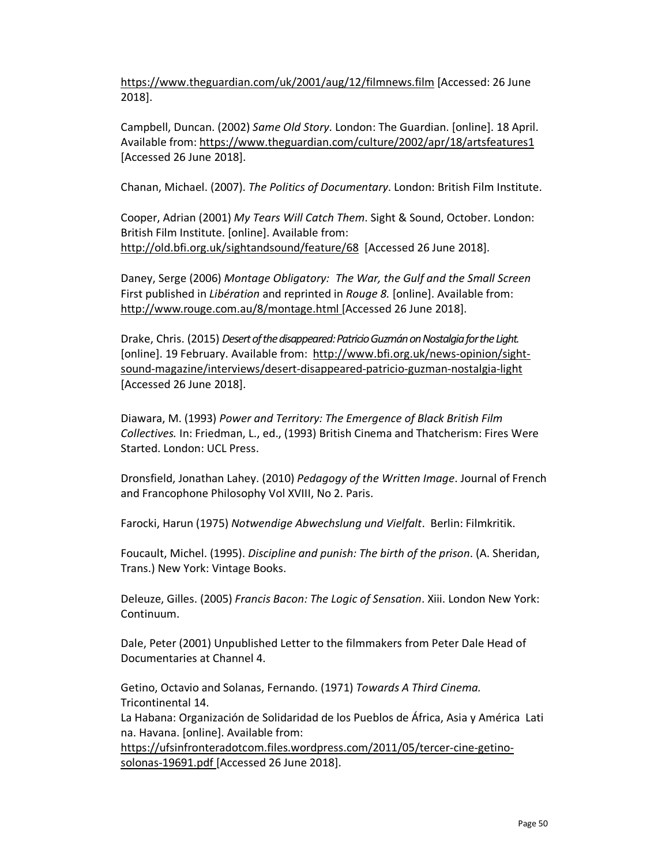https://www.theguardian.com/uk/2001/aug/12/filmnews.film [Accessed: 26 June 2018].

Campbell, Duncan. (2002) *Same Old Story*. London: The Guardian. [online]. 18 April. Available from: https://www.theguardian.com/culture/2002/apr/18/artsfeatures1 [Accessed 26 June 2018].

Chanan, Michael. (2007). *The Politics of Documentary*. London: British Film Institute.

Cooper, Adrian (2001) *My Tears Will Catch Them*. Sight & Sound, October. London: British Film Institute. [online]. Available from: http://old.bfi.org.uk/sightandsound/feature/68 [Accessed 26 June 2018].

Daney, Serge (2006) *Montage Obligatory: The War, the Gulf and the Small Screen* First published in *Libération* and reprinted in *Rouge 8.* [online]. Available from: http://www.rouge.com.au/8/montage.html [Accessed 26 June 2018].

Drake, Chris. (2015) *Desert of the disappeared: Patricio Guzmán on Nostalgia for the Light.* [online]. 19 February. Available from: http://www.bfi.org.uk/news-opinion/sightsound-magazine/interviews/desert-disappeared-patricio-guzman-nostalgia-light [Accessed 26 June 2018].

Diawara, M. (1993) *Power and Territory: The Emergence of Black British Film Collectives.* In: Friedman, L., ed., (1993) British Cinema and Thatcherism: Fires Were Started. London: UCL Press.

Dronsfield, Jonathan Lahey. (2010) *Pedagogy of the Written Image*. Journal of French and Francophone Philosophy Vol XVIII, No 2. Paris.

Farocki, Harun (1975) *Notwendige Abwechslung und Vielfalt*. Berlin: Filmkritik.

Foucault, Michel. (1995). *Discipline and punish: The birth of the prison*. (A. Sheridan, Trans.) New York: Vintage Books.

Deleuze, Gilles. (2005) *Francis Bacon: The Logic of Sensation*. Xiii. London New York: Continuum.

Dale, Peter (2001) Unpublished Letter to the filmmakers from Peter Dale Head of Documentaries at Channel 4.

Getino, Octavio and Solanas, Fernando. (1971) *Towards A Third Cinema.* Tricontinental 14.

La Habana: Organización de Solidaridad de los Pueblos de África, Asia y América Lati na. Havana. [online]. Available from:

https://ufsinfronteradotcom.files.wordpress.com/2011/05/tercer-cine-getinosolonas-19691.pdf [Accessed 26 June 2018].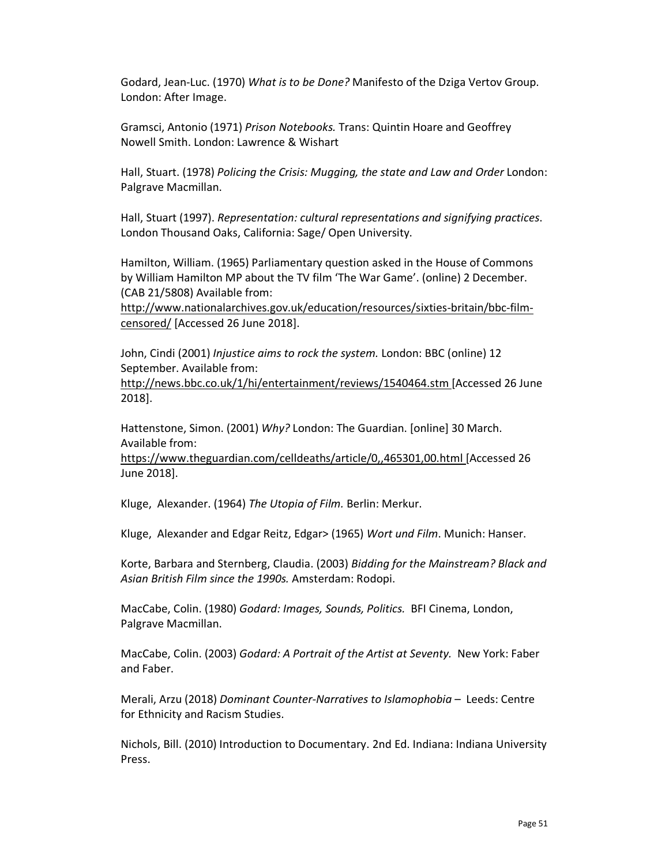Godard, Jean-Luc. (1970) *What is to be Done?* Manifesto of the Dziga Vertov Group. London: After Image.

Gramsci, Antonio (1971) *Prison Notebooks.* Trans: Quintin Hoare and Geoffrey Nowell Smith. London: Lawrence & Wishart

Hall, Stuart. (1978) *Policing the Crisis: Mugging, the state and Law and Order* London: Palgrave Macmillan.

Hall, Stuart (1997). *Representation: cultural representations and signifying practices*. London Thousand Oaks, California: Sage/ Open University.

Hamilton, William. (1965) Parliamentary question asked in the House of Commons by William Hamilton MP about the TV film 'The War Game'. (online) 2 December. (CAB 21/5808) Available from:

http://www.nationalarchives.gov.uk/education/resources/sixties-britain/bbc-filmcensored/ [Accessed 26 June 2018].

John, Cindi (2001) *Injustice aims to rock the system.* London: BBC (online) 12 September. Available from:

http://news.bbc.co.uk/1/hi/entertainment/reviews/1540464.stm [Accessed 26 June 2018].

Hattenstone, Simon. (2001) *Why?* London: The Guardian. [online] 30 March. Available from:

https://www.theguardian.com/celldeaths/article/0,,465301,00.html [Accessed 26 June 2018].

Kluge, Alexander. (1964) *The Utopia of Film.* Berlin: Merkur.

Kluge, Alexander and Edgar Reitz, Edgar> (1965) *Wort und Film*. Munich: Hanser.

Korte, Barbara and Sternberg, Claudia. (2003) *Bidding for the Mainstream? Black and Asian British Film since the 1990s.* Amsterdam: Rodopi.

MacCabe, Colin. (1980) *Godard: Images, Sounds, Politics.* BFI Cinema, London, Palgrave Macmillan.

MacCabe, Colin. (2003) *Godard: A Portrait of the Artist at Seventy.* New York: Faber and Faber.

Merali, Arzu (2018) *Dominant Counter-Narratives to Islamophobia* – Leeds: Centre for Ethnicity and Racism Studies.

Nichols, Bill. (2010) Introduction to Documentary. 2nd Ed. Indiana: Indiana University Press.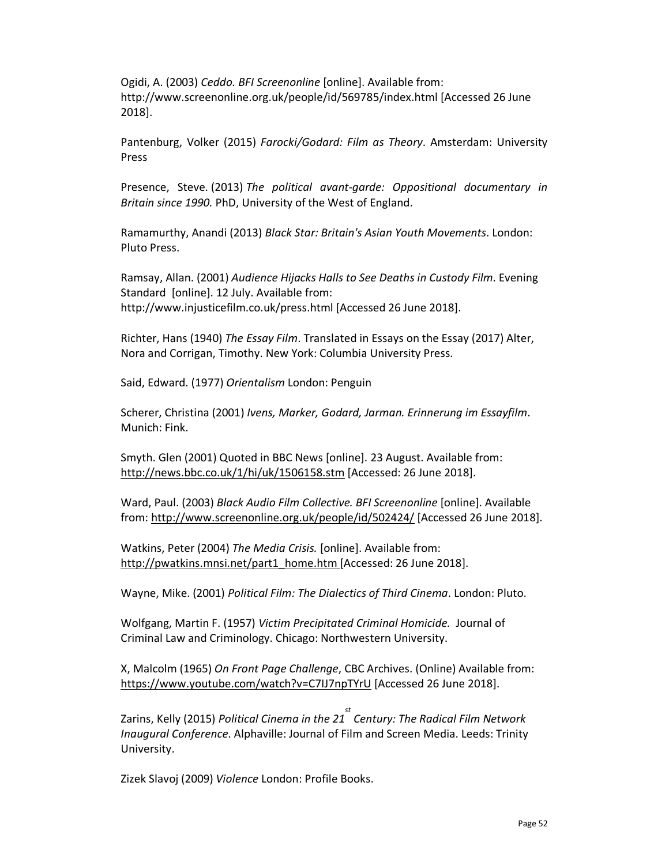Ogidi, A. (2003) *Ceddo. BFI Screenonline* [online]. Available from: http://www.screenonline.org.uk/people/id/569785/index.html [Accessed 26 June 2018].

Pantenburg, Volker (2015) *Farocki/Godard: Film as Theory*. Amsterdam: University Press

Presence, Steve. (2013) *The political avant-garde: Oppositional documentary in Britain since 1990.* PhD, University of the West of England.

Ramamurthy, Anandi (2013) *Black Star: Britain's Asian Youth Movements*. London: Pluto Press.

Ramsay, Allan. (2001) *Audience Hijacks Halls to See Deaths in Custody Film*. Evening Standard [online]. 12 July. Available from: http://www.injusticefilm.co.uk/press.html [Accessed 26 June 2018].

Richter, Hans (1940) *The Essay Film*. Translated in Essays on the Essay (2017) Alter, Nora and Corrigan, Timothy. New York: Columbia University Press.

Said, Edward. (1977) *Orientalism* London: Penguin

Scherer, Christina (2001) *Ivens, Marker, Godard, Jarman. Erinnerung im Essayfilm*. Munich: Fink.

Smyth. Glen (2001) Quoted in BBC News [online]. 23 August. Available from: http://news.bbc.co.uk/1/hi/uk/1506158.stm [Accessed: 26 June 2018].

Ward, Paul. (2003) *Black Audio Film Collective. BFI Screenonline* [online]. Available from: http://www.screenonline.org.uk/people/id/502424/ [Accessed 26 June 2018].

Watkins, Peter (2004) *The Media Crisis.* [online]. Available from: http://pwatkins.mnsi.net/part1\_home.htm [Accessed: 26 June 2018].

Wayne, Mike. (2001) *Political Film: The Dialectics of Third Cinema*. London: Pluto.

Wolfgang, Martin F. (1957) *Victim Precipitated Criminal Homicide.* Journal of Criminal Law and Criminology. Chicago: Northwestern University.

X, Malcolm (1965) *On Front Page Challenge*, CBC Archives. (Online) Available from: https://www.youtube.com/watch?v=C7IJ7npTYrU [Accessed 26 June 2018].

Zarins, Kelly (2015) *Political Cinema in the 21st Century: The Radical Film Network Inaugural Conference*. Alphaville: Journal of Film and Screen Media. Leeds: Trinity University.

Zizek Slavoj (2009) *Violence* London: Profile Books.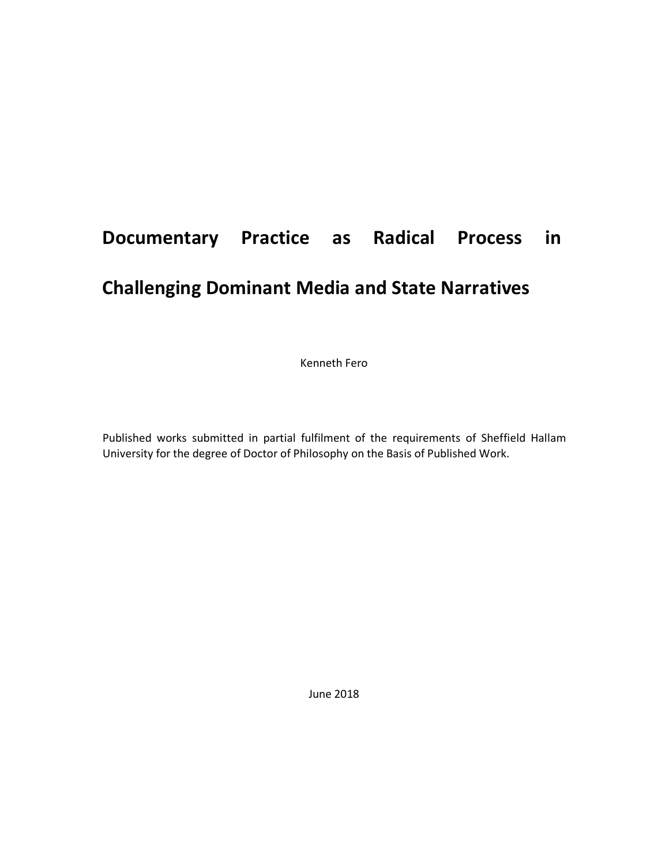# **Documentary Practice as Radical Process in Challenging Dominant Media and State Narratives**

Kenneth Fero

Published works submitted in partial fulfilment of the requirements of Sheffield Hallam University for the degree of Doctor of Philosophy on the Basis of Published Work.

June 2018